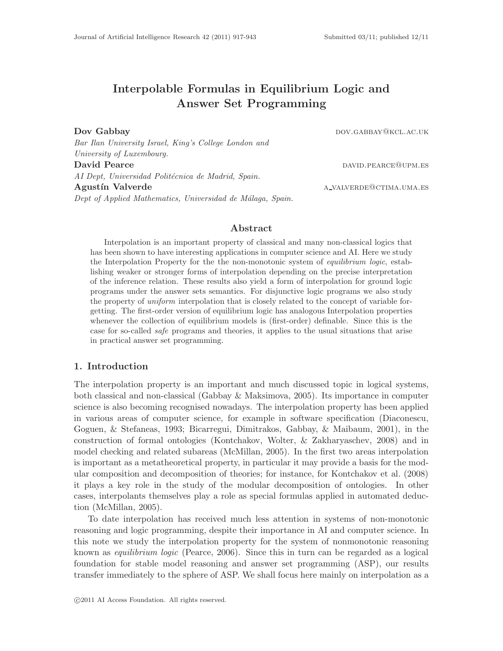# Interpolable Formulas in Equilibrium Logic and Answer Set Programming

Dov Gabbay down and the control of the control of the control of the control of the control of the control of the control of the control of the control of the control of the control of the control of the control of the con

Bar Ilan University Israel, King's College London and University of Luxembourg. David Pearce David Pearce David Pearce David Pearce David Pearce David Pearce David Pearce David Pearce David Pearce David Pearce David Pearce David Pearce David Pearce David Pearce David Pearce David Pearce David Pearce D AI Dept, Universidad Politécnica de Madrid, Spain. Agustín Valverde a value a valverde a value a valverde a value a value a value a value a value a value a value a value a value a value a value a value a value a value a value a value a value a value a value a value a value Dept of Applied Mathematics, Universidad de Málaga, Spain.

# Abstract

Interpolation is an important property of classical and many non-classical logics that has been shown to have interesting applications in computer science and AI. Here we study the Interpolation Property for the the non-monotonic system of *equilibrium logic*, establishing weaker or stronger forms of interpolation depending on the precise interpretation of the inference relation. These results also yield a form of interpolation for ground logic programs under the answer sets semantics. For disjunctive logic programs we also study the property of uniform interpolation that is closely related to the concept of variable forgetting. The first-order version of equilibrium logic has analogous Interpolation properties whenever the collection of equilibrium models is (first-order) definable. Since this is the case for so-called safe programs and theories, it applies to the usual situations that arise in practical answer set programming.

# 1. Introduction

The interpolation property is an important and much discussed topic in logical systems, both classical and non-classical (Gabbay & Maksimova, 2005). Its importance in computer science is also becoming recognised nowadays. The interpolation property has been applied in various areas of computer science, for example in software specification (Diaconescu, Goguen, & Stefaneas, 1993; Bicarregui, Dimitrakos, Gabbay, & Maibaum, 2001), in the construction of formal ontologies (Kontchakov, Wolter, & Zakharyaschev, 2008) and in model checking and related subareas (McMillan, 2005). In the first two areas interpolation is important as a metatheoretical property, in particular it may provide a basis for the modular composition and decomposition of theories; for instance, for Kontchakov et al. (2008) it plays a key role in the study of the modular decomposition of ontologies. In other cases, interpolants themselves play a role as special formulas applied in automated deduction (McMillan, 2005).

To date interpolation has received much less attention in systems of non-monotonic reasoning and logic programming, despite their importance in AI and computer science. In this note we study the interpolation property for the system of nonmonotonic reasoning known as equilibrium logic (Pearce, 2006). Since this in turn can be regarded as a logical foundation for stable model reasoning and answer set programming (ASP), our results transfer immediately to the sphere of ASP. We shall focus here mainly on interpolation as a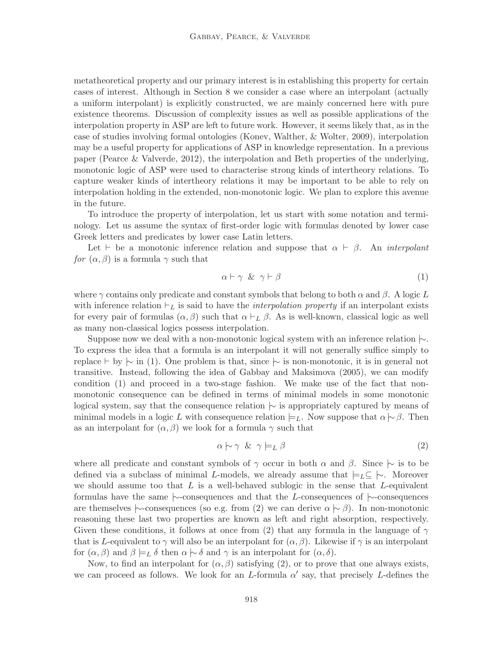metatheoretical property and our primary interest is in establishing this property for certain cases of interest. Although in Section 8 we consider a case where an interpolant (actually a uniform interpolant) is explicitly constructed, we are mainly concerned here with pure existence theorems. Discussion of complexity issues as well as possible applications of the interpolation property in ASP are left to future work. However, it seems likely that, as in the case of studies involving formal ontologies (Konev, Walther, & Wolter, 2009), interpolation may be a useful property for applications of ASP in knowledge representation. In a previous paper (Pearce & Valverde, 2012), the interpolation and Beth properties of the underlying, monotonic logic of ASP were used to characterise strong kinds of intertheory relations. To capture weaker kinds of intertheory relations it may be important to be able to rely on interpolation holding in the extended, non-monotonic logic. We plan to explore this avenue in the future.

To introduce the property of interpolation, let us start with some notation and terminology. Let us assume the syntax of first-order logic with formulas denoted by lower case Greek letters and predicates by lower case Latin letters.

Let  $\vdash$  be a monotonic inference relation and suppose that  $\alpha \vdash \beta$ . An *interpolant* for  $(\alpha, \beta)$  is a formula  $\gamma$  such that

$$
\alpha \vdash \gamma \And \gamma \vdash \beta \tag{1}
$$

where  $\gamma$  contains only predicate and constant symbols that belong to both  $\alpha$  and  $\beta$ . A logic L with inference relation  $\vdash_L$  is said to have the *interpolation property* if an interpolant exists for every pair of formulas  $(\alpha, \beta)$  such that  $\alpha \vdash_L \beta$ . As is well-known, classical logic as well as many non-classical logics possess interpolation.

Suppose now we deal with a non-monotonic logical system with an inference relation  $\sim$ . To express the idea that a formula is an interpolant it will not generally suffice simply to replace  $\vdash$  by  $\sim$  in (1). One problem is that, since  $\sim$  is non-monotonic, it is in general not transitive. Instead, following the idea of Gabbay and Maksimova (2005), we can modify condition (1) and proceed in a two-stage fashion. We make use of the fact that nonmonotonic consequence can be defined in terms of minimal models in some monotonic logical system, say that the consequence relation |∼ is appropriately captured by means of minimal models in a logic L with consequence relation  $\models_L$ . Now suppose that  $\alpha \sim \beta$ . Then as an interpolant for  $(\alpha, \beta)$  we look for a formula  $\gamma$  such that

$$
\alpha \sim \gamma \& \gamma \models_L \beta \tag{2}
$$

where all predicate and constant symbols of  $\gamma$  occur in both  $\alpha$  and  $\beta$ . Since  $\sim$  is to be defined via a subclass of minimal L-models, we already assume that  $\models_L \subseteq \ \mid\sim$ . Moreover we should assume too that  $L$  is a well-behaved sublogic in the sense that  $L$ -equivalent formulas have the same |∼-consequences and that the L-consequences of |∼-consequences are themselves  $\sim$ -consequences (so e.g. from (2) we can derive  $\alpha \sim \beta$ ). In non-monotonic reasoning these last two properties are known as left and right absorption, respectively. Given these conditions, it follows at once from (2) that any formula in the language of  $\gamma$ that is L-equivalent to  $\gamma$  will also be an interpolant for  $(\alpha, \beta)$ . Likewise if  $\gamma$  is an interpolant for  $(\alpha, \beta)$  and  $\beta \models_L \delta$  then  $\alpha \models \delta$  and  $\gamma$  is an interpolant for  $(\alpha, \delta)$ .

Now, to find an interpolant for  $(\alpha, \beta)$  satisfying (2), or to prove that one always exists, we can proceed as follows. We look for an L-formula  $\alpha'$  say, that precisely L-defines the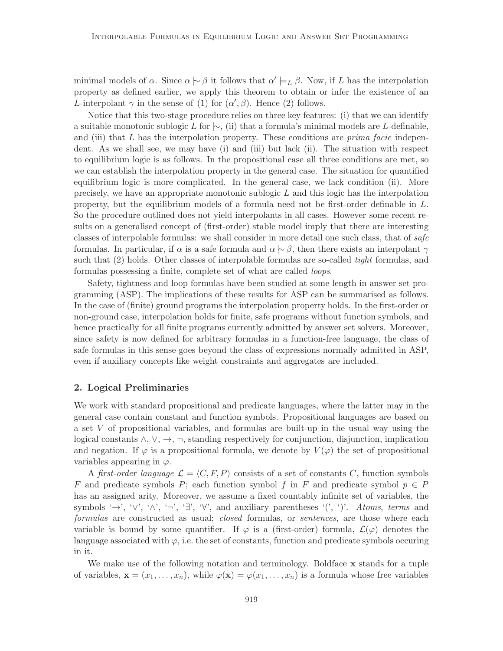minimal models of  $\alpha$ . Since  $\alpha \sim \beta$  it follows that  $\alpha' \models_L \beta$ . Now, if L has the interpolation property as defined earlier, we apply this theorem to obtain or infer the existence of an L-interpolant  $\gamma$  in the sense of (1) for  $(\alpha', \beta)$ . Hence (2) follows.

Notice that this two-stage procedure relies on three key features: (i) that we can identify a suitable monotonic sublogic L for  $\vdash$ , (ii) that a formula's minimal models are L-definable, and (iii) that  $L$  has the interpolation property. These conditions are *prima facie* independent. As we shall see, we may have (i) and (iii) but lack (ii). The situation with respect to equilibrium logic is as follows. In the propositional case all three conditions are met, so we can establish the interpolation property in the general case. The situation for quantified equilibrium logic is more complicated. In the general case, we lack condition (ii). More precisely, we have an appropriate monotonic sublogic  $L$  and this logic has the interpolation property, but the equilibrium models of a formula need not be first-order definable in L. So the procedure outlined does not yield interpolants in all cases. However some recent results on a generalised concept of (first-order) stable model imply that there are interesting classes of interpolable formulas: we shall consider in more detail one such class, that of safe formulas. In particular, if  $\alpha$  is a safe formula and  $\alpha \sim \beta$ , then there exists an interpolant  $\gamma$ such that (2) holds. Other classes of interpolable formulas are so-called *tight* formulas, and formulas possessing a finite, complete set of what are called *loops*.

Safety, tightness and loop formulas have been studied at some length in answer set programming (ASP). The implications of these results for ASP can be summarised as follows. In the case of (finite) ground programs the interpolation property holds. In the first-order or non-ground case, interpolation holds for finite, safe programs without function symbols, and hence practically for all finite programs currently admitted by answer set solvers. Moreover, since safety is now defined for arbitrary formulas in a function-free language, the class of safe formulas in this sense goes beyond the class of expressions normally admitted in ASP, even if auxiliary concepts like weight constraints and aggregates are included.

# 2. Logical Preliminaries

We work with standard propositional and predicate languages, where the latter may in the general case contain constant and function symbols. Propositional languages are based on a set V of propositional variables, and formulas are built-up in the usual way using the logical constants  $\wedge$ ,  $\vee$ ,  $\rightarrow$ ,  $\neg$ , standing respectively for conjunction, disjunction, implication and negation. If  $\varphi$  is a propositional formula, we denote by  $V(\varphi)$  the set of propositional variables appearing in  $\varphi$ .

A first-order language  $\mathcal{L} = \langle C, F, P \rangle$  consists of a set of constants C, function symbols F and predicate symbols P; each function symbol f in F and predicate symbol  $p \in P$ has an assigned arity. Moreover, we assume a fixed countably infinite set of variables, the symbols ' $\rightarrow$ ', ' $\vee$ ', ' $\wedge$ ', ' $\neg$ ', ' $\exists$ ', ' $\forall$ ', and auxiliary parentheses '(', ')'. Atoms, terms and formulas are constructed as usual; closed formulas, or sentences, are those where each variable is bound by some quantifier. If  $\varphi$  is a (first-order) formula,  $\mathcal{L}(\varphi)$  denotes the language associated with  $\varphi$ , i.e. the set of constants, function and predicate symbols occuring in it.

We make use of the following notation and terminology. Boldface **x** stands for a tuple of variables,  $\mathbf{x} = (x_1, \ldots, x_n)$ , while  $\varphi(\mathbf{x}) = \varphi(x_1, \ldots, x_n)$  is a formula whose free variables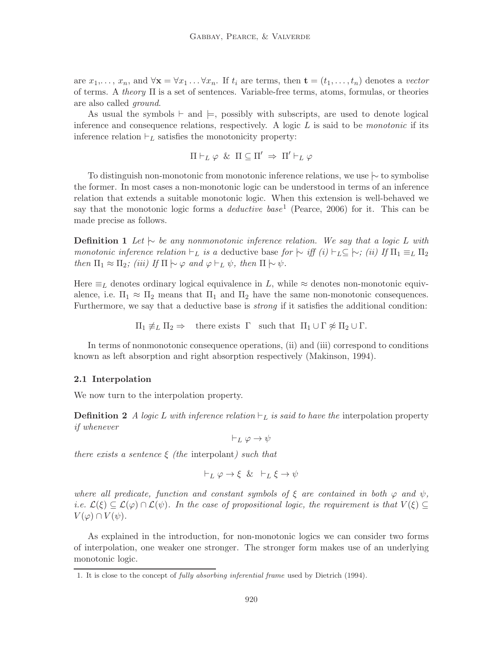are  $x_1, \ldots, x_n$ , and  $\forall \mathbf{x} = \forall x_1 \ldots \forall x_n$ . If  $t_i$  are terms, then  $\mathbf{t} = (t_1, \ldots, t_n)$  denotes a vector of terms. A *theory*  $\Pi$  is a set of sentences. Variable-free terms, atoms, formulas, or theories are also called ground.

As usual the symbols  $\vdash$  and  $\models$ , possibly with subscripts, are used to denote logical inference and consequence relations, respectively. A logic  $L$  is said to be *monotonic* if its inference relation  $\vdash_L$  satisfies the monotonicity property:

 $\Pi\vdash_L\varphi\And\Pi\subseteq\Pi'\Rightarrow\Pi'\vdash_L\varphi$ 

To distinguish non-monotonic from monotonic inference relations, we use |∼ to symbolise the former. In most cases a non-monotonic logic can be understood in terms of an inference relation that extends a suitable monotonic logic. When this extension is well-behaved we say that the monotonic logic forms a *deductive base*<sup>1</sup> (Pearce, 2006) for it. This can be made precise as follows.

**Definition 1** Let  $\vdash$  be any nonmonotonic inference relation. We say that a logic L with monotonic inference relation  $\vdash_L$  is a deductive base for  $\vdash$  iff  $(i) \vdash_L \subseteq \vdash$ ;  $(ii)$  If  $\Pi_1 \equiv_L \Pi_2$ then  $\Pi_1 \approx \Pi_2$ ; (iii) If  $\Pi \mid \sim \varphi$  and  $\varphi \vdash_L \psi$ , then  $\Pi \mid \sim \psi$ .

Here  $\equiv_L$  denotes ordinary logical equivalence in L, while  $\approx$  denotes non-monotonic equivalence, i.e.  $\Pi_1 \approx \Pi_2$  means that  $\Pi_1$  and  $\Pi_2$  have the same non-monotonic consequences. Furthermore, we say that a deductive base is *strong* if it satisfies the additional condition:

 $\Pi_1 \not\equiv_L \Pi_2 \Rightarrow$  there exists  $\Gamma$  such that  $\Pi_1 \cup \Gamma \not\approx \Pi_2 \cup \Gamma$ .

In terms of nonmonotonic consequence operations, (ii) and (iii) correspond to conditions known as left absorption and right absorption respectively (Makinson, 1994).

### 2.1 Interpolation

We now turn to the interpolation property.

**Definition 2** A logic L with inference relation  $\vdash_L$  is said to have the interpolation property if whenever

 $\vdash_L \varphi \to \psi$ 

there exists a sentence  $\xi$  (the interpolant) such that

$$
\vdash_L \varphi \to \xi \And \vdash_L \xi \to \psi
$$

where all predicate, function and constant symbols of  $\xi$  are contained in both  $\varphi$  and  $\psi$ , i.e.  $\mathcal{L}(\xi) \subseteq \mathcal{L}(\varphi) \cap \mathcal{L}(\psi)$ . In the case of propositional logic, the requirement is that  $V(\xi) \subseteq$  $V(\varphi) \cap V(\psi)$ .

As explained in the introduction, for non-monotonic logics we can consider two forms of interpolation, one weaker one stronger. The stronger form makes use of an underlying monotonic logic.

<sup>1.</sup> It is close to the concept of fully absorbing inferential frame used by Dietrich (1994).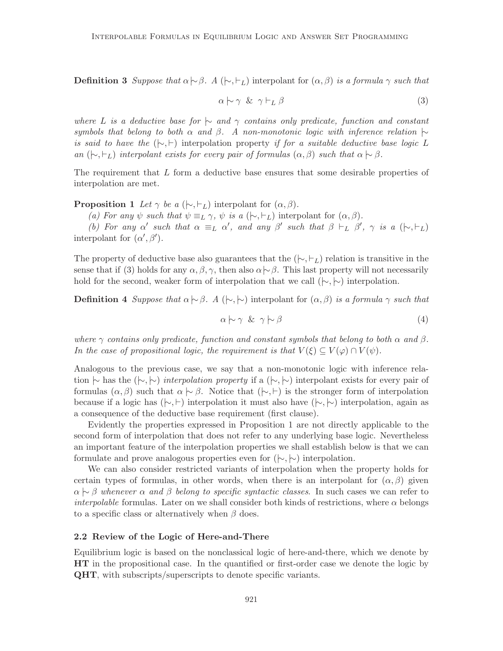**Definition 3** Suppose that  $\alpha \sim \beta$ . A ( $\vdash, \vdash_L$ ) interpolant for  $(\alpha, \beta)$  is a formula  $\gamma$  such that

$$
\alpha \sim \gamma \& \gamma \vdash_L \beta \tag{3}
$$

where L is a deductive base for  $\vdash$  and  $\gamma$  contains only predicate, function and constant symbols that belong to both  $\alpha$  and  $\beta$ . A non-monotonic logic with inference relation  $\sim$ is said to have the  $(\sim, \sim)$  interpolation property if for a suitable deductive base logic L an  $(\vdash, \vdash_L)$  interpolant exists for every pair of formulas  $(\alpha, \beta)$  such that  $\alpha \vdash \beta$ .

The requirement that L form a deductive base ensures that some desirable properties of interpolation are met.

**Proposition 1** Let  $\gamma$  be a ( $\vdash, \vdash_L$ ) interpolant for  $(\alpha, \beta)$ .

(a) For any  $\psi$  such that  $\psi \equiv_L \gamma$ ,  $\psi$  is a  $(\sim, \succ_L)$  interpolant for  $(\alpha, \beta)$ .

(b) For any  $\alpha'$  such that  $\alpha \equiv_L \alpha'$ , and any  $\beta'$  such that  $\beta \vdash_L \beta'$ ,  $\gamma$  is a  $(\n\vdash, \vdash_L)$ interpolant for  $(\alpha', \beta')$ .

The property of deductive base also guarantees that the  $(\sim, \vdash_L)$  relation is transitive in the sense that if (3) holds for any  $\alpha, \beta, \gamma$ , then also  $\alpha \sim \beta$ . This last property will not necessarily hold for the second, weaker form of interpolation that we call  $(\nvdash, \nvdash)$  interpolation.

**Definition 4** Suppose that  $\alpha \sim \beta$ . A ( $\sim, \sim$ ) interpolant for  $(\alpha, \beta)$  is a formula  $\gamma$  such that

$$
\alpha \sim \gamma \And \gamma \sim \beta \tag{4}
$$

where  $\gamma$  contains only predicate, function and constant symbols that belong to both  $\alpha$  and  $\beta$ . In the case of propositional logic, the requirement is that  $V(\xi) \subseteq V(\varphi) \cap V(\psi)$ .

Analogous to the previous case, we say that a non-monotonic logic with inference relation  $\sim$  has the  $(\sim, \sim)$  interpolation property if a  $(\sim, \sim)$  interpolant exists for every pair of formulas  $(\alpha, \beta)$  such that  $\alpha \sim \beta$ . Notice that  $(\sim, \vdash)$  is the stronger form of interpolation because if a logic has  $(\succ, \succ)$  interpolation it must also have  $(\succ, \succ)$  interpolation, again as a consequence of the deductive base requirement (first clause).

Evidently the properties expressed in Proposition 1 are not directly applicable to the second form of interpolation that does not refer to any underlying base logic. Nevertheless an important feature of the interpolation properties we shall establish below is that we can formulate and prove analogous properties even for  $(\sim, \sim)$  interpolation.

We can also consider restricted variants of interpolation when the property holds for certain types of formulas, in other words, when there is an interpolant for  $(\alpha, \beta)$  given  $\alpha \sim \beta$  whenever  $\alpha$  and  $\beta$  belong to specific syntactic classes. In such cases we can refer to *interpolable* formulas. Later on we shall consider both kinds of restrictions, where  $\alpha$  belongs to a specific class or alternatively when  $\beta$  does.

### 2.2 Review of the Logic of Here-and-There

Equilibrium logic is based on the nonclassical logic of here-and-there, which we denote by HT in the propositional case. In the quantified or first-order case we denote the logic by QHT, with subscripts/superscripts to denote specific variants.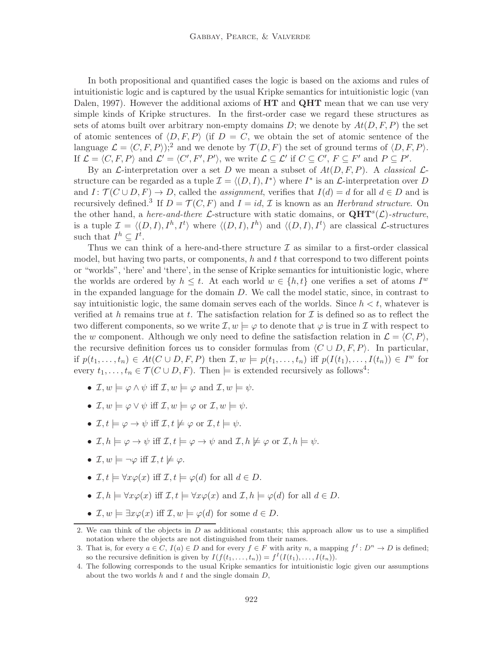In both propositional and quantified cases the logic is based on the axioms and rules of intuitionistic logic and is captured by the usual Kripke semantics for intuitionistic logic (van Dalen, 1997). However the additional axioms of  $HT$  and  $QHT$  mean that we can use very simple kinds of Kripke structures. In the first-order case we regard these structures as sets of atoms built over arbitrary non-empty domains D; we denote by  $At(D, F, P)$  the set of atomic sentences of  $\langle D, F, P \rangle$  (if  $D = C$ , we obtain the set of atomic sentence of the language  $\mathcal{L} = \langle C, F, P \rangle;^2$  and we denote by  $\mathcal{T}(D, F)$  the set of ground terms of  $\langle D, F, P \rangle$ . If  $\mathcal{L} = \langle C, F, P \rangle$  and  $\mathcal{L}' = \langle C', F', P' \rangle$ , we write  $\mathcal{L} \subseteq \mathcal{L}'$  if  $C \subseteq C', F \subseteq F'$  and  $P \subseteq P'$ .

By an L-interpretation over a set D we mean a subset of  $At(D, F, P)$ . A classical Lstructure can be regarded as a tuple  $\mathcal{I} = \langle (D, I), I^* \rangle$  where  $I^*$  is an  $\mathcal{L}$ -interpretation over D and  $I: \mathcal{T}(C \cup D, F) \to D$ , called the *assignment*, verifies that  $I(d) = d$  for all  $d \in D$  and is recursively defined.<sup>3</sup> If  $D = \mathcal{T}(C, F)$  and  $I = id$ ,  $\mathcal{I}$  is known as an *Herbrand structure*. On the other hand, a *here-and-there* L-structure with static domains, or  $QHT^{s}(\mathcal{L})$ -structure, is a tuple  $\mathcal{I} = \langle (D, I), I^h, I^t \rangle$  where  $\langle (D, I), I^h \rangle$  and  $\langle (D, I), I^t \rangle$  are classical *L*-structures such that  $I^h \subseteq I^t$ .

Thus we can think of a here-and-there structure  $\mathcal I$  as similar to a first-order classical model, but having two parts, or components,  $h$  and  $t$  that correspond to two different points or "worlds", 'here' and 'there', in the sense of Kripke semantics for intuitionistic logic, where the worlds are ordered by  $h \leq t$ . At each world  $w \in \{h, t\}$  one verifies a set of atoms  $I^w$ in the expanded language for the domain  $D$ . We call the model static, since, in contrast to say intuitionistic logic, the same domain serves each of the worlds. Since  $h < t$ , whatever is verified at h remains true at t. The satisfaction relation for  $\mathcal I$  is defined so as to reflect the two different components, so we write  $\mathcal{I}, w \models \varphi$  to denote that  $\varphi$  is true in  $\mathcal{I}$  with respect to the w component. Although we only need to define the satisfaction relation in  $\mathcal{L} = \langle C, P \rangle$ , the recursive definition forces us to consider formulas from  $\langle C \cup D, F, P \rangle$ . In particular, if  $p(t_1,\ldots,t_n) \in At(C \cup D, F, P)$  then  $\mathcal{I}, w \models p(t_1,\ldots,t_n)$  iff  $p(I(t_1),\ldots,I(t_n)) \in I^w$  for every  $t_1, \ldots, t_n \in \mathcal{T}(C \cup D, F)$ . Then  $\models$  is extended recursively as follows<sup>4</sup>:

- $\mathcal{I}, w \models \varphi \land \psi \text{ iff } \mathcal{I}, w \models \varphi \text{ and } \mathcal{I}, w \models \psi.$
- $\mathcal{I}, w \models \varphi \lor \psi$  iff  $\mathcal{I}, w \models \varphi$  or  $\mathcal{I}, w \models \psi$ .
- $\mathcal{I}, t \models \varphi \rightarrow \psi \text{ iff } \mathcal{I}, t \not\models \varphi \text{ or } \mathcal{I}, t \models \psi.$
- $\mathcal{I}, h \models \varphi \rightarrow \psi \text{ iff } \mathcal{I}, t \models \varphi \rightarrow \psi \text{ and } \mathcal{I}, h \not\models \varphi \text{ or } \mathcal{I}, h \models \psi.$
- $\mathcal{I}, w \models \neg \varphi \text{ iff } \mathcal{I}, t \not\models \varphi.$
- $\mathcal{I}, t \models \forall x \varphi(x)$  iff  $\mathcal{I}, t \models \varphi(d)$  for all  $d \in D$ .
- $\mathcal{I}, h \models \forall x \varphi(x)$  iff  $\mathcal{I}, t \models \forall x \varphi(x)$  and  $\mathcal{I}, h \models \varphi(d)$  for all  $d \in D$ .
- $\mathcal{I}, w \models \exists x \varphi(x) \text{ iff } \mathcal{I}, w \models \varphi(d) \text{ for some } d \in D.$

<sup>2.</sup> We can think of the objects in  $D$  as additional constants; this approach allow us to use a simplified notation where the objects are not distinguished from their names.

<sup>3.</sup> That is, for every  $a \in C$ ,  $I(a) \in D$  and for every  $f \in F$  with arity n, a mapping  $f^I: D^n \to D$  is defined; so the recursive definition is given by  $I(f(t_1, \ldots, t_n)) = f^I(I(t_1), \ldots, I(t_n)).$ 

<sup>4.</sup> The following corresponds to the usual Kripke semantics for intuitionistic logic given our assumptions about the two worlds  $h$  and  $t$  and the single domain  $D$ ,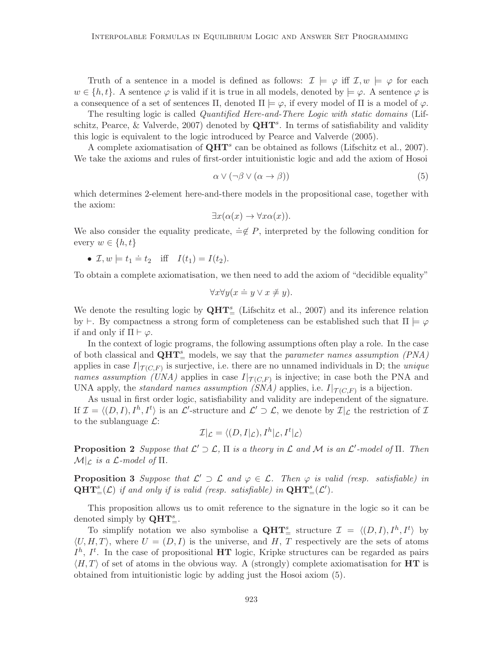Truth of a sentence in a model is defined as follows:  $\mathcal{I} \models \varphi$  iff  $\mathcal{I}, w \models \varphi$  for each  $w \in \{h, t\}$ . A sentence  $\varphi$  is valid if it is true in all models, denoted by  $\models \varphi$ . A sentence  $\varphi$  is a consequence of a set of sentences  $\Pi$ , denoted  $\Pi \models \varphi$ , if every model of  $\Pi$  is a model of  $\varphi$ .

The resulting logic is called Quantified Here-and-There Logic with static domains (Lifschitz, Pearce, & Valverde, 2007) denoted by  $QHT^s$ . In terms of satisfiability and validity this logic is equivalent to the logic introduced by Pearce and Valverde (2005).

A complete axiomatisation of  $QHT^s$  can be obtained as follows (Lifschitz et al., 2007). We take the axioms and rules of first-order intuitionistic logic and add the axiom of Hosoi

$$
\alpha \vee (\neg \beta \vee (\alpha \to \beta)) \tag{5}
$$

which determines 2-element here-and-there models in the propositional case, together with the axiom:

$$
\exists x (\alpha(x) \to \forall x \alpha(x)).
$$

We also consider the equality predicate,  $\dot{=} \notin P$ , interpreted by the following condition for every  $w \in \{h, t\}$ 

• 
$$
\mathcal{I}, w \models t_1 \stackrel{.}{=} t_2
$$
 iff  $I(t_1) = I(t_2)$ .

To obtain a complete axiomatisation, we then need to add the axiom of "decidible equality"

$$
\forall x \forall y (x \doteq y \lor x \neq y).
$$

We denote the resulting logic by  $QHT_{=}^{s}$  (Lifschitz et al., 2007) and its inference relation by  $\vdash$ . By compactness a strong form of completeness can be established such that  $\Pi \models \varphi$ if and only if  $\Pi \vdash \varphi$ .

In the context of logic programs, the following assumptions often play a role. In the case of both classical and  $\mathbf{QHT}_{=}^s$  models, we say that the *parameter names assumption* (PNA) applies in case  $I|_{\mathcal{T}(C,F)}$  is surjective, i.e. there are no unnamed individuals in D; the *unique* names assumption (UNA) applies in case  $I|_{\mathcal{T}(C,F)}$  is injective; in case both the PNA and UNA apply, the *standard names assumption (SNA)* applies, i.e.  $I|_{\mathcal{T}(C,F)}$  is a bijection.

As usual in first order logic, satisfiability and validity are independent of the signature. If  $\mathcal{I} = \langle (D, I), I^h, I^t \rangle$  is an  $\mathcal{L}'$ -structure and  $\mathcal{L}' \supset \mathcal{L}$ , we denote by  $\mathcal{I}|_{\mathcal{L}}$  the restriction of  $\mathcal{I}$ to the sublanguage  $\mathcal{L}$ :

$$
\mathcal{I}|_{\mathcal{L}} = \langle (D, I|_{\mathcal{L}}), I^h|_{\mathcal{L}}, I^t|_{\mathcal{L}} \rangle
$$

**Proposition 2** Suppose that  $\mathcal{L}' \supset \mathcal{L}$ ,  $\Pi$  is a theory in  $\mathcal{L}$  and  $\mathcal{M}$  is an  $\mathcal{L}'$ -model of  $\Pi$ . Then  $\mathcal{M}|_{\mathcal{L}}$  is a  $\mathcal{L}\text{-model of } \Pi$ .

**Proposition 3** Suppose that  $\mathcal{L}' \supset \mathcal{L}$  and  $\varphi \in \mathcal{L}$ . Then  $\varphi$  is valid (resp. satisfiable) in  $\mathbf{QHT}^s_{=}(\mathcal{L})$  if and only if is valid (resp. satisfiable) in  $\mathbf{QHT}^s_{=}(\mathcal{L}')$ .

This proposition allows us to omit reference to the signature in the logic so it can be denoted simply by  $QHT_{=}^s$ .

To simplify notation we also symbolise a  $\mathbf{QHT}_{=}^{s}$  structure  $\mathcal{I} = \langle (D, I), I^{h}, I^{t} \rangle$  by  $\langle U, H, T \rangle$ , where  $U = (D, I)$  is the universe, and H, T respectively are the sets of atoms  $I<sup>h</sup>$ ,  $I<sup>t</sup>$ . In the case of propositional HT logic, Kripke structures can be regarded as pairs  $\langle H, T \rangle$  of set of atoms in the obvious way. A (strongly) complete axiomatisation for **HT** is obtained from intuitionistic logic by adding just the Hosoi axiom (5).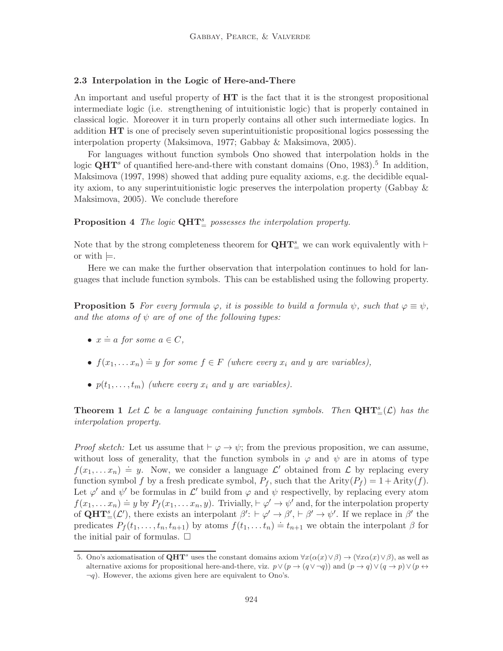# 2.3 Interpolation in the Logic of Here-and-There

An important and useful property of  $HT$  is the fact that it is the strongest propositional intermediate logic (i.e. strengthening of intuitionistic logic) that is properly contained in classical logic. Moreover it in turn properly contains all other such intermediate logics. In addition HT is one of precisely seven superintuitionistic propositional logics possessing the interpolation property (Maksimova, 1977; Gabbay & Maksimova, 2005).

For languages without function symbols Ono showed that interpolation holds in the logic  $QHT^s$  of quantified here-and-there with constant domains (Ono, 1983).<sup>5</sup> In addition, Maksimova (1997, 1998) showed that adding pure equality axioms, e.g. the decidible equality axiom, to any superintuitionistic logic preserves the interpolation property (Gabbay & Maksimova, 2005). We conclude therefore

**Proposition 4** The logic  $\mathbf{QHT}_{=}^s$  possesses the interpolation property.

Note that by the strong completeness theorem for  $\mathbf{QHT}_{=}^{s}$  we can work equivalently with  $\vdash$ or with  $\models$ .

Here we can make the further observation that interpolation continues to hold for languages that include function symbols. This can be established using the following property.

**Proposition 5** For every formula  $\varphi$ , it is possible to build a formula  $\psi$ , such that  $\varphi \equiv \psi$ , and the atoms of  $\psi$  are of one of the following types:

- $x \doteq a$  for some  $a \in C$ ,
- $f(x_1,...,x_n) \doteq y$  for some  $f \in F$  (where every  $x_i$  and y are variables),
- $p(t_1, \ldots, t_m)$  (where every  $x_i$  and y are variables).

**Theorem 1** Let  $\mathcal{L}$  be a language containing function symbols. Then  $\mathbf{QHT}_{=}^s(\mathcal{L})$  has the interpolation property.

*Proof sketch:* Let us assume that  $\vdash \varphi \rightarrow \psi$ ; from the previous proposition, we can assume, without loss of generality, that the function symbols in  $\varphi$  and  $\psi$  are in atoms of type  $f(x_1,...x_n) \doteq y$ . Now, we consider a language  $\mathcal{L}'$  obtained from  $\mathcal{L}$  by replacing every function symbol f by a fresh predicate symbol,  $P_f$ , such that the Arity $(P_f) = 1 +$ Arity $(f)$ . Let  $\varphi'$  and  $\psi'$  be formulas in  $\mathcal{L}'$  build from  $\varphi$  and  $\psi$  respectivelly, by replacing every atom  $f(x_1, \ldots, x_n) \doteq y$  by  $P_f(x_1, \ldots, x_n, y)$ . Trivially,  $\vdash \varphi' \rightarrow \psi'$  and, for the interpolation property of  $\mathbf{QHT}_{=}^s(\mathcal{L}')$ , there exists an interpolant  $\beta': \vdash \varphi' \to \beta', \vdash \beta' \to \psi'$ . If we replace in  $\beta'$  the predicates  $P_f(t_1,\ldots,t_n,t_{n+1})$  by atoms  $f(t_1,\ldots,t_n) \doteq t_{n+1}$  we obtain the interpolant  $\beta$  for the initial pair of formulas.  $\Box$ 

<sup>5.</sup> Ono's axiomatisation of  $\mathbf{QHT}^s$  uses the constant domains axiom  $\forall x(\alpha(x) \vee \beta) \rightarrow (\forall x \alpha(x) \vee \beta)$ , as well as alternative axioms for propositional here-and-there, viz.  $p \vee (p \rightarrow (q \vee \neg q))$  and  $(p \rightarrow q) \vee (q \rightarrow p) \vee (p \leftrightarrow q)$  $\neg q$ ). However, the axioms given here are equivalent to Ono's.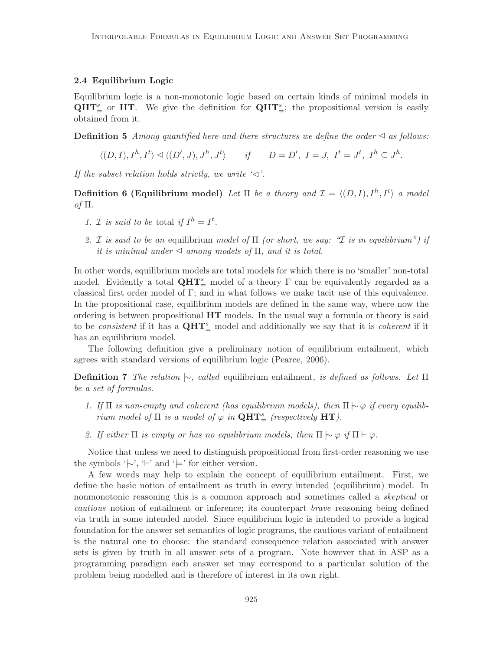# 2.4 Equilibrium Logic

Equilibrium logic is a non-monotonic logic based on certain kinds of minimal models in  $QHT_{=}^s$  or HT. We give the definition for  $QHT_{=}^s$ ; the propositional version is easily obtained from it.

**Definition 5** Among quantified here-and-there structures we define the order  $\triangleleft$  as follows:

 $\langle (D, I), I^h, I^t \rangle \trianglelefteq \langle (D', J), J^h, J^t \rangle \quad \text{if} \quad D = D', I = J, I^t = J^t, I^h \subseteq J^h.$ 

If the subset relation holds strictly, we write ' $\triangleleft$ '.

**Definition 6 (Equilibrium model)** Let  $\Pi$  be a theory and  $\mathcal{I} = \langle (D, I), I^h, I^t \rangle$  a model of Π.

- 1. *T* is said to be total if  $I^h = I^t$ .
- 2. I is said to be an equilibrium model of  $\Pi$  (or short, we say: "I is in equilibrium") if it is minimal under  $\triangleleft$  among models of  $\Pi$ , and it is total.

In other words, equilibrium models are total models for which there is no 'smaller' non-total model. Evidently a total  $QHT_{=}^s$  model of a theory  $\Gamma$  can be equivalently regarded as a classical first order model of Γ; and in what follows we make tacit use of this equivalence. In the propositional case, equilibrium models are defined in the same way, where now the ordering is between propositional  $HT$  models. In the usual way a formula or theory is said to be *consistent* if it has a  $QHT_{=}^s$  model and additionally we say that it is *coherent* if it has an equilibrium model.

The following definition give a preliminary notion of equilibrium entailment, which agrees with standard versions of equilibrium logic (Pearce, 2006).

**Definition 7** The relation  $\sim$ , called equilibrium entailment, is defined as follows. Let  $\Pi$ be a set of formulas.

- 1. If  $\Pi$  is non-empty and coherent (has equilibrium models), then  $\Pi \rightarrow \varphi$  if every equilibrium model of  $\Pi$  is a model of  $\varphi$  in  $\mathbf{QHT}_{=}^s$  (respectively HT).
- 2. If either  $\Pi$  is empty or has no equilibrium models, then  $\Pi \vdash \varphi$  if  $\Pi \vdash \varphi$ .

Notice that unless we need to distinguish propositional from first-order reasoning we use the symbols ' $\vdash'$ ', '⊢' and ' $\models'$  for either version.

A few words may help to explain the concept of equilibrium entailment. First, we define the basic notion of entailment as truth in every intended (equilibrium) model. In nonmonotonic reasoning this is a common approach and sometimes called a *skeptical* or cautious notion of entailment or inference; its counterpart brave reasoning being defined via truth in some intended model. Since equilibrium logic is intended to provide a logical foundation for the answer set semantics of logic programs, the cautious variant of entailment is the natural one to choose: the standard consequence relation associated with answer sets is given by truth in all answer sets of a program. Note however that in ASP as a programming paradigm each answer set may correspond to a particular solution of the problem being modelled and is therefore of interest in its own right.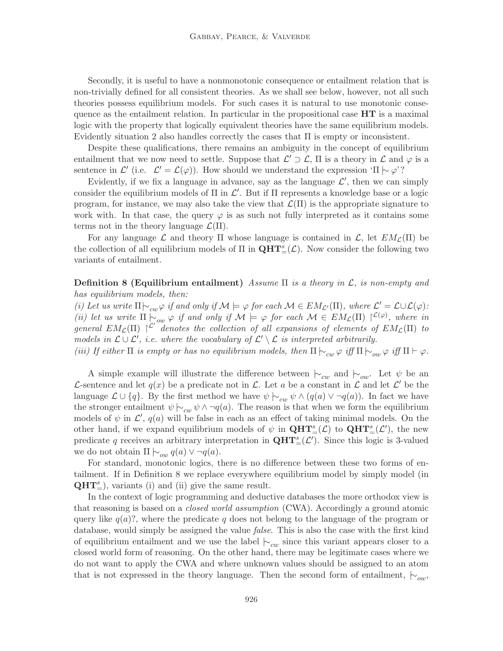Secondly, it is useful to have a nonmonotonic consequence or entailment relation that is non-trivially defined for all consistent theories. As we shall see below, however, not all such theories possess equilibrium models. For such cases it is natural to use monotonic consequence as the entailment relation. In particular in the propositional case  $HT$  is a maximal logic with the property that logically equivalent theories have the same equilibrium models. Evidently situation 2 also handles correctly the cases that  $\Pi$  is empty or inconsistent.

Despite these qualifications, there remains an ambiguity in the concept of equilibrium entailment that we now need to settle. Suppose that  $\mathcal{L}' \supset \mathcal{L}$ ,  $\Pi$  is a theory in  $\mathcal L$  and  $\varphi$  is a sentence in  $\mathcal{L}'$  (i.e.  $\mathcal{L}' = \mathcal{L}(\varphi)$ ). How should we understand the expression ' $\Pi \sim \varphi$ '?

Evidently, if we fix a language in advance, say as the language  $\mathcal{L}'$ , then we can simply consider the equilibrium models of  $\Pi$  in  $\mathcal{L}'$ . But if  $\Pi$  represents a knowledge base or a logic program, for instance, we may also take the view that  $\mathcal{L}(\Pi)$  is the appropriate signature to work with. In that case, the query  $\varphi$  is as such not fully interpreted as it contains some terms not in the theory language  $\mathcal{L}(\Pi)$ .

For any language  $\mathcal L$  and theory  $\Pi$  whose language is contained in  $\mathcal L$ , let  $EM_{\mathcal L}(\Pi)$  be the collection of all equilibrium models of  $\Pi$  in  $\mathbf{QHT}^s_{=}(\mathcal{L})$ . Now consider the following two variants of entailment.

**Definition 8 (Equilibrium entailment)** Assume  $\Pi$  is a theory in  $\mathcal{L}$ , is non-empty and has equilibrium models, then:

(i) Let us write  $\Pi \vdash_{cw} \varphi$  if and only if  $\mathcal{M} \models \varphi$  for each  $\mathcal{M} \in EM_{\mathcal{L}'}(\Pi)$ , where  $\mathcal{L}' = \mathcal{L} \cup \mathcal{L}(\varphi)$ : (ii) let us write  $\Pi \subset_{ow} \varphi$  if and only if  $\mathcal{M} \models \varphi$  for each  $\mathcal{M} \in EM_{\mathcal{L}}(\Pi) \upharpoonright^{\mathcal{L}(\varphi)}$ , where in general  $EM_{\mathcal{L}}(\Pi)$   $\uparrow^{\mathcal{L}'}$  denotes the collection of all expansions of elements of  $EM_{\mathcal{L}}(\Pi)$  to models in  $\mathcal{L} \cup \mathcal{L}'$ , i.e. where the vocabulary of  $\mathcal{L}' \setminus \mathcal{L}$  is interpreted arbitrarily.

(iii) If either  $\Pi$  is empty or has no equilibrium models, then  $\Pi \vdash_{cw} \varphi$  iff  $\Pi \vdash \varphi$ .

A simple example will illustrate the difference between  $\vdash_{cw}$  and  $\vdash_{ow}$ . Let  $\psi$  be an L-sentence and let  $q(x)$  be a predicate not in L. Let a be a constant in L and let L' be the language  $\mathcal{L} \cup \{q\}$ . By the first method we have  $\psi \nightharpoonup_{cw} \psi \wedge (q(a) \vee \neg q(a))$ . In fact we have the stronger entailment  $\psi \models_{cw} \psi \land \neg q(a)$ . The reason is that when we form the equilibrium models of  $\psi$  in  $\mathcal{L}'$ ,  $q(a)$  will be false in each as an effect of taking minimal models. On the other hand, if we expand equilibrium models of  $\psi$  in  $\mathbf{QHT}^s_{=}(\mathcal{L})$  to  $\mathbf{QHT}^s_{=}(\mathcal{L}')$ , the new predicate q receives an arbitrary interpretation in  $\mathbf{QHT}_{=}^{s}(\mathcal{L}')$ . Since this logic is 3-valued we do not obtain  $\Pi \vdash_{ow} q(a) \vee \neg q(a)$ .

For standard, monotonic logics, there is no difference between these two forms of entailment. If in Definition 8 we replace everywhere equilibrium model by simply model (in  $QHT_{=}^s$ ), variants (i) and (ii) give the same result.

In the context of logic programming and deductive databases the more orthodox view is that reasoning is based on a closed world assumption (CWA). Accordingly a ground atomic query like  $q(a)$ ?, where the predicate q does not belong to the language of the program or database, would simply be assigned the value *false*. This is also the case with the first kind of equilibrium entailment and we use the label  $\vdash_{cw}$  since this variant appears closer to a closed world form of reasoning. On the other hand, there may be legitimate cases where we do not want to apply the CWA and where unknown values should be assigned to an atom that is not expressed in the theory language. Then the second form of entailment,  $\vert \sim_{ow}$ ,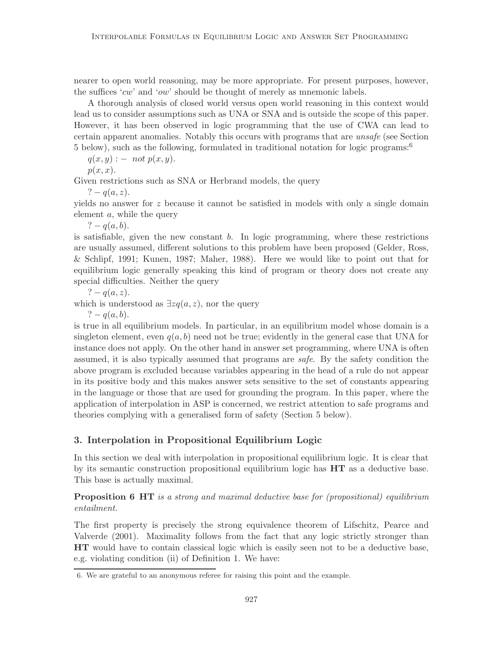nearer to open world reasoning, may be more appropriate. For present purposes, however, the suffices 'cw' and 'ow' should be thought of merely as mnemonic labels.

A thorough analysis of closed world versus open world reasoning in this context would lead us to consider assumptions such as UNA or SNA and is outside the scope of this paper. However, it has been observed in logic programming that the use of CWA can lead to certain apparent anomalies. Notably this occurs with programs that are unsafe (see Section 5 below), such as the following, formulated in traditional notation for logic programs:<sup>6</sup>

 $q(x, y)$  :  $-$  not  $p(x, y)$ .

 $p(x, x)$ .

Given restrictions such as SNA or Herbrand models, the query

? –  $q(a, z)$ .

yields no answer for z because it cannot be satisfied in models with only a single domain element a, while the query

? –  $q(a, b)$ .

is satisfiable, given the new constant  $b$ . In logic programming, where these restrictions are usually assumed, different solutions to this problem have been proposed (Gelder, Ross, & Schlipf, 1991; Kunen, 1987; Maher, 1988). Here we would like to point out that for equilibrium logic generally speaking this kind of program or theory does not create any special difficulties. Neither the query

? –  $q(a, z)$ .

which is understood as  $\exists z q(a, z)$ , nor the query

? –  $q(a, b)$ .

is true in all equilibrium models. In particular, in an equilibrium model whose domain is a singleton element, even  $q(a, b)$  need not be true; evidently in the general case that UNA for instance does not apply. On the other hand in answer set programming, where UNA is often assumed, it is also typically assumed that programs are safe. By the safety condition the above program is excluded because variables appearing in the head of a rule do not appear in its positive body and this makes answer sets sensitive to the set of constants appearing in the language or those that are used for grounding the program. In this paper, where the application of interpolation in ASP is concerned, we restrict attention to safe programs and theories complying with a generalised form of safety (Section 5 below).

# 3. Interpolation in Propositional Equilibrium Logic

In this section we deal with interpolation in propositional equilibrium logic. It is clear that by its semantic construction propositional equilibrium logic has  $HT$  as a deductive base. This base is actually maximal.

**Proposition 6 HT** is a strong and maximal deductive base for (propositional) equilibrium entailment.

The first property is precisely the strong equivalence theorem of Lifschitz, Pearce and Valverde (2001). Maximality follows from the fact that any logic strictly stronger than HT would have to contain classical logic which is easily seen not to be a deductive base, e.g. violating condition (ii) of Definition 1. We have:

<sup>6.</sup> We are grateful to an anonymous referee for raising this point and the example.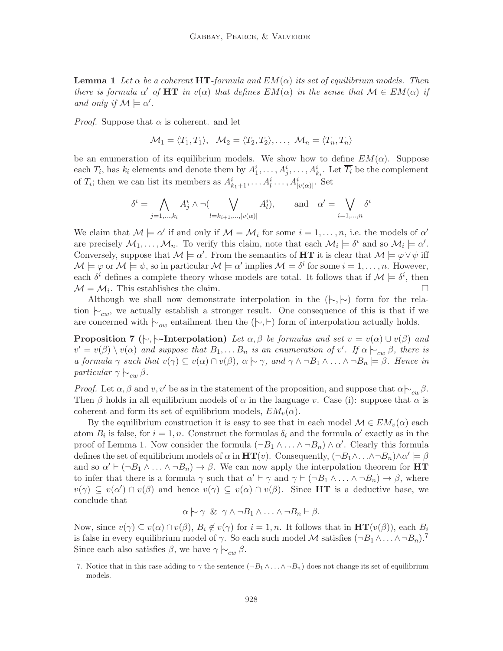**Lemma 1** Let  $\alpha$  be a coherent HT-formula and  $EM(\alpha)$  its set of equilibrium models. Then there is formula  $\alpha'$  of HT in  $v(\alpha)$  that defines  $EM(\alpha)$  in the sense that  $\mathcal{M} \in EM(\alpha)$  if and only if  $\mathcal{M} \models \alpha'$ .

*Proof.* Suppose that  $\alpha$  is coherent. and let

$$
\mathcal{M}_1 = \langle T_1, T_1 \rangle, \quad \mathcal{M}_2 = \langle T_2, T_2 \rangle, \dots, \quad \mathcal{M}_n = \langle T_n, T_n \rangle
$$

be an enumeration of its equilibrium models. We show how to define  $EM(\alpha)$ . Suppose each  $T_i$ , has  $k_i$  elements and denote them by  $A_1^i, \ldots, A_j^i, \ldots, A_{k_i}^i$ . Let  $\overline{T_i}$  be the complement of  $T_i$ ; then we can list its members as  $A_{k_1+1}^i, \ldots, A_l^i, \ldots, A_{|\nu(\alpha)|}^i$ . Set

$$
\delta^i = \bigwedge_{j=1,\dots,k_i} A^i_j \wedge \neg (\bigvee_{l=k_{i+1},\dots,|v(\alpha)|} A^i_l), \quad \text{and} \quad \alpha' = \bigvee_{i=1,\dots,n} \delta^i
$$

We claim that  $\mathcal{M} \models \alpha'$  if and only if  $\mathcal{M} = \mathcal{M}_i$  for some  $i = 1, \ldots, n$ , i.e. the models of  $\alpha'$ are precisely  $M_1, \ldots, M_n$ . To verify this claim, note that each  $M_i \models \delta^i$  and so  $M_i \models \alpha'$ . Conversely, suppose that  $\mathcal{M} \models \alpha'$ . From the semantics of HT it is clear that  $\mathcal{M} \models \varphi \vee \psi$  iff  $\mathcal{M} \models \varphi$  or  $\mathcal{M} \models \psi$ , so in particular  $\mathcal{M} \models \alpha'$  implies  $\mathcal{M} \models \delta^i$  for some  $i = 1, \ldots, n$ . However, each  $\delta^i$  defines a complete theory whose models are total. It follows that if  $\mathcal{M} \models \delta^i$ , then  $\mathcal{M} = \mathcal{M}_i$ . This establishes the claim.

Although we shall now demonstrate interpolation in the  $(\sim, \sim)$  form for the relation  $\vdash_{cw}$ , we actually establish a stronger result. One consequence of this is that if we are concerned with  $\vdash_{ow}$  entailment then the ( $\vdash, \vdash$ ) form of interpolation actually holds.

**Proposition 7** ( $\vdash, \vdash$ -Interpolation) Let  $\alpha, \beta$  be formulas and set  $v = v(\alpha) \cup v(\beta)$  and  $v' = v(\beta) \setminus v(\alpha)$  and suppose that  $B_1, \ldots B_n$  is an enumeration of  $v'$ . If  $\alpha \vdash_{cw} \beta$ , there is a formula  $\gamma$  such that  $v(\gamma) \subseteq v(\alpha) \cap v(\beta)$ ,  $\alpha \sim \gamma$ , and  $\gamma \wedge \neg B_1 \wedge \dots \wedge \neg B_n \models \beta$ . Hence in particular  $\gamma \n\sim_{cw} \beta$ .

*Proof.* Let  $\alpha, \beta$  and v, v' be as in the statement of the proposition, and suppose that  $\alpha \n\sim_{\alpha} \beta$ . Then  $\beta$  holds in all equilibrium models of  $\alpha$  in the language v. Case (i): suppose that  $\alpha$  is coherent and form its set of equilibrium models,  $EM_v(\alpha)$ .

By the equilibrium construction it is easy to see that in each model  $\mathcal{M} \in EM_v(\alpha)$  each atom  $B_i$  is false, for  $i = 1, n$ . Construct the formulas  $\delta_i$  and the formula  $\alpha'$  exactly as in the proof of Lemma 1. Now consider the formula  $(\neg B_1 \land \dots \land \neg B_n) \land \alpha'$ . Clearly this formula defines the set of equilibrium models of  $\alpha$  in  $HT(v)$ . Consequently,  $(\neg B_1 \land \dots \land \neg B_n) \land \alpha' \models \beta$ and so  $\alpha' \vdash (\neg B_1 \land \ldots \land \neg B_n) \rightarrow \beta$ . We can now apply the interpolation theorem for HT to infer that there is a formula  $\gamma$  such that  $\alpha' \vdash \gamma$  and  $\gamma \vdash (\neg B_1 \land \dots \land \neg B_n) \rightarrow \beta$ , where  $v(\gamma) \subseteq v(\alpha') \cap v(\beta)$  and hence  $v(\gamma) \subseteq v(\alpha) \cap v(\beta)$ . Since HT is a deductive base, we conclude that

$$
\alpha \hspace{0.2em}\sim\hspace{-0.9em}\mid\hspace{0.58em} \gamma \hspace{0.2em} \& \hspace{0.2em} \gamma \wedge \neg B_1 \wedge \ldots \wedge \neg B_n \vdash \beta.
$$

Now, since  $v(\gamma) \subseteq v(\alpha) \cap v(\beta)$ ,  $B_i \notin v(\gamma)$  for  $i = 1, n$ . It follows that in  $HT(v(\beta))$ , each  $B_i$ is false in every equilibrium model of  $\gamma$ . So each such model M satisfies  $(\neg B_1 \land \dots \land \neg B_n)^T$ . Since each also satisfies  $\beta$ , we have  $\gamma \sim_{cw} \beta$ .

<sup>7.</sup> Notice that in this case adding to  $\gamma$  the sentence  $(\neg B_1 \land \dots \land \neg B_n)$  does not change its set of equilibrium models.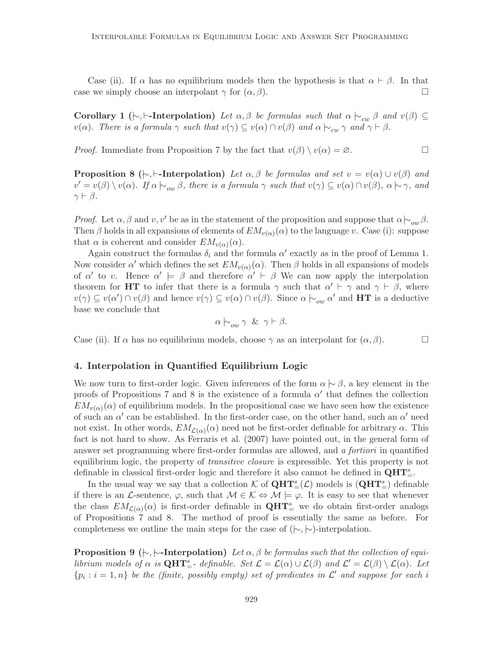Case (ii). If  $\alpha$  has no equilibrium models then the hypothesis is that  $\alpha \vdash \beta$ . In that case we simply choose an interpolant  $\gamma$  for  $(\alpha, \beta)$ .

Corollary 1 ( $\vdash$ ,  $\vdash$ -Interpolation) Let  $\alpha, \beta$  be formulas such that  $\alpha \vdash_{cw} \beta$  and  $v(\beta) \subseteq$  $v(\alpha)$ . There is a formula  $\gamma$  such that  $v(\gamma) \subseteq v(\alpha) \cap v(\beta)$  and  $\alpha \vdash_{cw} \gamma$  and  $\gamma \vdash \beta$ .

*Proof.* Immediate from Proposition 7 by the fact that  $v(\beta) \setminus v(\alpha) = \emptyset$ .

**Proposition 8** ( $\vdash$ ,  $\vdash$ -**Interpolation**) Let  $\alpha, \beta$  be formulas and set  $v = v(\alpha) \cup v(\beta)$  and  $v' = v(\beta) \setminus v(\alpha)$ . If  $\alpha \n\big|_{\alpha \in \beta}$ , there is a formula  $\gamma$  such that  $v(\gamma) \subseteq v(\alpha) \cap v(\beta)$ ,  $\alpha \n\big|_{\gamma}$ , and  $\gamma \vdash \beta$ .

*Proof.* Let  $\alpha, \beta$  and  $v, v'$  be as in the statement of the proposition and suppose that  $\alpha \nvert_{\alpha} \beta$ . Then  $\beta$  holds in all expansions of elements of  $EM_{v(\alpha)}(\alpha)$  to the language v. Case (i): suppose that  $\alpha$  is coherent and consider  $EM_{v(\alpha)}(\alpha)$ .

Again construct the formulas  $\delta_i$  and the formula  $\alpha'$  exactly as in the proof of Lemma 1. Now consider  $\alpha'$  which defines the set  $EM_{v(\alpha)}(\alpha)$ . Then  $\beta$  holds in all expansions of models of  $\alpha'$  to v. Hence  $\alpha' \models \beta$  and therefore  $\alpha' \vdash \beta$  We can now apply the interpolation theorem for HT to infer that there is a formula  $\gamma$  such that  $\alpha' \vdash \gamma$  and  $\gamma \vdash \beta$ , where  $v(\gamma) \subseteq v(\alpha') \cap v(\beta)$  and hence  $v(\gamma) \subseteq v(\alpha) \cap v(\beta)$ . Since  $\alpha \nmid_{\text{ow}} \alpha'$  and **HT** is a deductive base we conclude that

$$
\alpha \hspace{0.2em}\sim_{ow} \gamma \hspace{0.2em} \& \hspace{0.2em} \gamma \vdash \beta.
$$

Case (ii). If  $\alpha$  has no equilibrium models, choose  $\gamma$  as an interpolant for  $(\alpha, \beta)$ .

# 4. Interpolation in Quantified Equilibrium Logic

We now turn to first-order logic. Given inferences of the form  $\alpha \sim \beta$ , a key element in the proofs of Propositions 7 and 8 is the existence of a formula  $\alpha'$  that defines the collection  $EM_{v(\alpha)}(\alpha)$  of equilibrium models. In the propositional case we have seen how the existence of such an  $\alpha'$  can be established. In the first-order case, on the other hand, such an  $\alpha'$  need not exist. In other words,  $EM_{\mathcal{L}(\alpha)}(\alpha)$  need not be first-order definable for arbitrary  $\alpha$ . This fact is not hard to show. As Ferraris et al. (2007) have pointed out, in the general form of answer set programming where first-order formulas are allowed, and a fortiori in quantified equilibrium logic, the property of *transitive closure* is expressible. Yet this property is not definable in classical first-order logic and therefore it also cannot be defined in  $QHT_{=}^s$ .

In the usual way we say that a collection  $K$  of  $\mathbf{QHT}^s_{=}(\mathcal{L})$  models is  $(\mathbf{QHT}^s_{=} )$  definable if there is an L-sentence,  $\varphi$ , such that  $M \in \mathcal{K} \Leftrightarrow M \models \varphi$ . It is easy to see that whenever the class  $EM_{\mathcal{L}(\alpha)}(\alpha)$  is first-order definable in  $\mathbf{QHT}_{=}^s$  we do obtain first-order analogs of Propositions 7 and 8. The method of proof is essentially the same as before. For completeness we outline the main steps for the case of  $(\sim, \sim)$ -interpolation.

**Proposition 9** ( $\vdash$ ,  $\vdash$ -Interpolation) Let  $\alpha$ ,  $\beta$  be formulas such that the collection of equilibrium models of  $\alpha$  is  $\mathbf{QHT}_{=}^s$ - definable. Set  $\mathcal{L} = \mathcal{L}(\alpha) \cup \mathcal{L}(\beta)$  and  $\mathcal{L}' = \mathcal{L}(\beta) \setminus \mathcal{L}(\alpha)$ . Let  $\{p_i : i = 1, n\}$  be the (finite, possibly empty) set of predicates in  $\mathcal{L}'$  and suppose for each i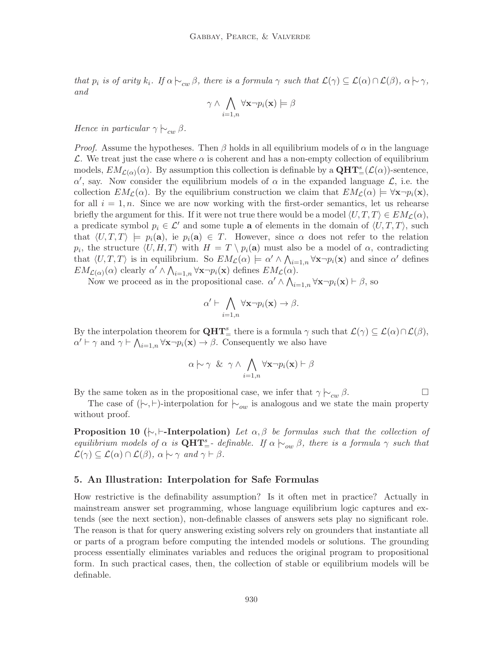that  $p_i$  is of arity  $k_i$ . If  $\alpha \nvertarrow_{cw} \beta$ , there is a formula  $\gamma$  such that  $\mathcal{L}(\gamma) \subseteq \mathcal{L}(\alpha) \cap \mathcal{L}(\beta)$ ,  $\alpha \nvertarrow \gamma$ , and

$$
\gamma \wedge \bigwedge_{i=1,n} \forall \mathbf{x} \neg p_i(\mathbf{x}) \models \beta
$$

Hence in particular  $\gamma \hspace{0.2em}\sim\hspace{-0.9em}\mid\hspace{0.58em} \sum_{cw} \beta$ .

*Proof.* Assume the hypotheses. Then  $\beta$  holds in all equilibrium models of  $\alpha$  in the language L. We treat just the case where  $\alpha$  is coherent and has a non-empty collection of equilibrium models,  $EM_{\mathcal{L}(\alpha)}(\alpha)$ . By assumption this collection is definable by a  $\mathbf{QHT}^s_{=}(\mathcal{L}(\alpha))$ -sentence,  $\alpha'$ , say. Now consider the equilibrium models of  $\alpha$  in the expanded language  $\mathcal{L}$ , i.e. the collection  $EM_C(\alpha)$ . By the equilibrium construction we claim that  $EM_C(\alpha) \models \forall x \neg p_i(x)$ , for all  $i = 1, n$ . Since we are now working with the first-order semantics, let us rehearse briefly the argument for this. If it were not true there would be a model  $\langle U, T, T \rangle \in EM_{\mathcal{L}}(\alpha)$ , a predicate symbol  $p_i \in \mathcal{L}'$  and some tuple **a** of elements in the domain of  $\langle U, T, T \rangle$ , such that  $\langle U, T, T \rangle = p_i(\mathbf{a})$ , ie  $p_i(\mathbf{a}) \in T$ . However, since  $\alpha$  does not refer to the relation  $p_i$ , the structure  $\langle U, H, T \rangle$  with  $H = T \setminus p_i(\mathbf{a})$  must also be a model of  $\alpha$ , contradicting that  $\langle U, T, T \rangle$  is in equilibrium. So  $EM_{\mathcal{L}}(\alpha) \models \alpha' \land \bigwedge_{i=1,n} \forall x \neg p_i(x)$  and since  $\alpha'$  defines  $EM_{\mathcal{L}(\alpha)}(\alpha)$  clearly  $\alpha' \wedge \bigwedge_{i=1,n} \forall \mathbf{x} \neg p_i(\mathbf{x})$  defines  $EM_{\mathcal{L}}(\alpha)$ .

Now we proceed as in the propositional case.  $\alpha' \wedge \bigwedge_{i=1,n} \forall x \neg p_i(x) \vdash \beta$ , so

$$
\alpha' \vdash \bigwedge_{i=1,n} \forall \mathbf{x} \neg p_i(\mathbf{x}) \to \beta.
$$

By the interpolation theorem for  $\mathbf{QHT}_{=}^s$  there is a formula  $\gamma$  such that  $\mathcal{L}(\gamma) \subseteq \mathcal{L}(\alpha) \cap \mathcal{L}(\beta)$ ,  $\alpha' \vdash \gamma$  and  $\gamma \vdash \bigwedge_{i=1,n} \forall x \neg p_i(x) \rightarrow \beta$ . Consequently we also have

$$
\alpha \hspace{0.2em}\sim\hspace{-0.9em}\mid\hspace{0.58em} \gamma \hspace{0.2em} \& \hspace{0.2em} \gamma \wedge \bigwedge_{i=1,n} \forall \mathbf{x} \neg p_i(\mathbf{x}) \vdash \beta
$$

By the same token as in the propositional case, we infer that  $\gamma \vdash_{cw} \beta$ .

The case of  $(\vdash, \vdash)$ -interpolation for  $\vdash_{ow}$  is analogous and we state the main property without proof.

**Proposition 10** ( $\vdash$ ,  $\vdash$ -Interpolation) Let  $\alpha, \beta$  be formulas such that the collection of equilibrium models of  $\alpha$  is  $QHT_{=}^s$ -definable. If  $\alpha \nvert_{\alpha} \otimes \beta$ , there is a formula  $\gamma$  such that  $\mathcal{L}(\gamma) \subseteq \mathcal{L}(\alpha) \cap \mathcal{L}(\beta), \ \alpha \mapsto \gamma \ \text{and} \ \gamma \vdash \beta.$ 

# 5. An Illustration: Interpolation for Safe Formulas

How restrictive is the definability assumption? Is it often met in practice? Actually in mainstream answer set programming, whose language equilibrium logic captures and extends (see the next section), non-definable classes of answers sets play no significant role. The reason is that for query answering existing solvers rely on grounders that instantiate all or parts of a program before computing the intended models or solutions. The grounding process essentially eliminates variables and reduces the original program to propositional form. In such practical cases, then, the collection of stable or equilibrium models will be definable.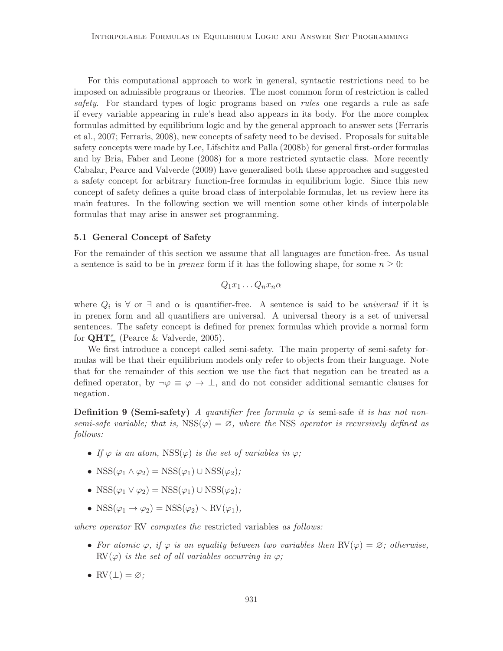For this computational approach to work in general, syntactic restrictions need to be imposed on admissible programs or theories. The most common form of restriction is called safety. For standard types of logic programs based on *rules* one regards a rule as safe if every variable appearing in rule's head also appears in its body. For the more complex formulas admitted by equilibrium logic and by the general approach to answer sets (Ferraris et al., 2007; Ferraris, 2008), new concepts of safety need to be devised. Proposals for suitable safety concepts were made by Lee, Lifschitz and Palla (2008b) for general first-order formulas and by Bria, Faber and Leone (2008) for a more restricted syntactic class. More recently Cabalar, Pearce and Valverde (2009) have generalised both these approaches and suggested a safety concept for arbitrary function-free formulas in equilibrium logic. Since this new concept of safety defines a quite broad class of interpolable formulas, let us review here its main features. In the following section we will mention some other kinds of interpolable formulas that may arise in answer set programming.

#### 5.1 General Concept of Safety

For the remainder of this section we assume that all languages are function-free. As usual a sentence is said to be in *prenex* form if it has the following shape, for some  $n \geq 0$ :

$$
Q_1x_1\ldots Q_nx_n\alpha
$$

where  $Q_i$  is  $\forall$  or  $\exists$  and  $\alpha$  is quantifier-free. A sentence is said to be *universal* if it is in prenex form and all quantifiers are universal. A universal theory is a set of universal sentences. The safety concept is defined for prenex formulas which provide a normal form for  $QHT_{=}^{s}$  (Pearce & Valverde, 2005).

We first introduce a concept called semi-safety. The main property of semi-safety formulas will be that their equilibrium models only refer to objects from their language. Note that for the remainder of this section we use the fact that negation can be treated as a defined operator, by  $\neg \varphi \equiv \varphi \rightarrow \bot$ , and do not consider additional semantic clauses for negation.

**Definition 9 (Semi-safety)** A quantifier free formula  $\varphi$  is semi-safe it is has not nonsemi-safe variable; that is,  $\text{RSS}(\varphi) = \varnothing$ , where the NSS operator is recursively defined as follows:

- If  $\varphi$  is an atom, NSS( $\varphi$ ) is the set of variables in  $\varphi$ ;
- NSS $(\varphi_1 \land \varphi_2)$  = NSS $(\varphi_1)$  ∪ NSS $(\varphi_2)$ ;
- NSS $(\varphi_1 \vee \varphi_2)$  = NSS $(\varphi_1)$  ∪ NSS $(\varphi_2)$ ;
- NSS $(\varphi_1 \to \varphi_2)$  = NSS $(\varphi_2)$  \ RV $(\varphi_1)$ ,

where operator RV computes the restricted variables as follows:

- For atomic  $\varphi$ , if  $\varphi$  is an equality between two variables then  $RV(\varphi) = \varnothing$ ; otherwise,  $\text{RV}(\varphi)$  is the set of all variables occurring in  $\varphi$ ;
- $RV(\perp) = \emptyset$ ;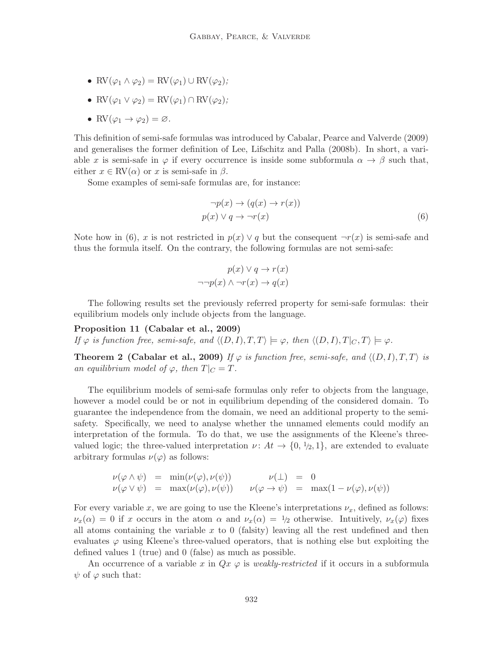- RV $(\varphi_1 \wedge \varphi_2) = RV(\varphi_1) \cup RV(\varphi_2);$
- RV $(\varphi_1 \vee \varphi_2) = RV(\varphi_1) \cap RV(\varphi_2);$
- RV $(\varphi_1 \rightarrow \varphi_2) = \varnothing$ .

This definition of semi-safe formulas was introduced by Cabalar, Pearce and Valverde (2009) and generalises the former definition of Lee, Lifschitz and Palla (2008b). In short, a variable x is semi-safe in  $\varphi$  if every occurrence is inside some subformula  $\alpha \to \beta$  such that, either  $x \in \text{RV}(\alpha)$  or x is semi-safe in  $\beta$ .

Some examples of semi-safe formulas are, for instance:

$$
\neg p(x) \to (q(x) \to r(x))
$$
  
 
$$
p(x) \lor q \to \neg r(x)
$$
 (6)

Note how in (6), x is not restricted in  $p(x) \vee q$  but the consequent  $\neg r(x)$  is semi-safe and thus the formula itself. On the contrary, the following formulas are not semi-safe:

$$
p(x) \lor q \to r(x)
$$

$$
\neg\neg p(x) \land \neg r(x) \to q(x)
$$

The following results set the previously referred property for semi-safe formulas: their equilibrium models only include objects from the language.

Proposition 11 (Cabalar et al., 2009) If  $\varphi$  is function free, semi-safe, and  $\langle (D, I), T, T \rangle \models \varphi$ , then  $\langle (D, I), T|_{C}, T \rangle \models \varphi$ .

**Theorem 2 (Cabalar et al., 2009)** If  $\varphi$  is function free, semi-safe, and  $\langle (D, I), T, T \rangle$  is an equilibrium model of  $\varphi$ , then  $T|_C = T$ .

The equilibrium models of semi-safe formulas only refer to objects from the language, however a model could be or not in equilibrium depending of the considered domain. To guarantee the independence from the domain, we need an additional property to the semisafety. Specifically, we need to analyse whether the unnamed elements could modify an interpretation of the formula. To do that, we use the assignments of the Kleene's threevalued logic; the three-valued interpretation  $\nu: At \to \{0, \frac{1}{2}, 1\}$ , are extended to evaluate arbitrary formulas  $\nu(\varphi)$  as follows:

$$
\nu(\varphi \wedge \psi) = \min(\nu(\varphi), \nu(\psi)) \qquad \nu(\bot) = 0
$$
  

$$
\nu(\varphi \vee \psi) = \max(\nu(\varphi), \nu(\psi)) \qquad \nu(\varphi \to \psi) = \max(1 - \nu(\varphi), \nu(\psi))
$$

For every variable x, we are going to use the Kleene's interpretations  $\nu_x$ , defined as follows:  $\nu_x(\alpha) = 0$  if x occurs in the atom  $\alpha$  and  $\nu_x(\alpha) = \frac{1}{2}$  otherwise. Intuitively,  $\nu_x(\varphi)$  fixes all atoms containing the variable  $x$  to 0 (falsity) leaving all the rest undefined and then evaluates  $\varphi$  using Kleene's three-valued operators, that is nothing else but exploiting the defined values 1 (true) and 0 (false) as much as possible.

An occurrence of a variable x in  $Qx \varphi$  is weakly-restricted if it occurs in a subformula  $\psi$  of  $\varphi$  such that: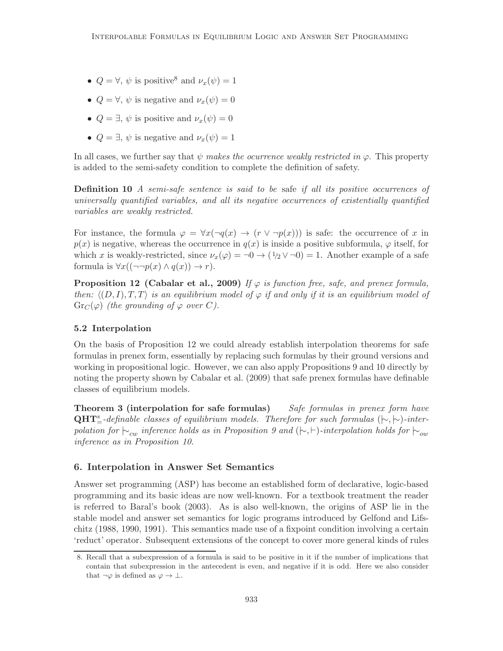- $Q = \forall, \psi$  is positive<sup>8</sup> and  $\nu_x(\psi) = 1$
- $Q = \forall, \psi$  is negative and  $\nu_x(\psi) = 0$
- $Q = \exists, \psi$  is positive and  $\nu_r(\psi) = 0$
- $Q = \exists, \psi$  is negative and  $\nu_x(\psi) = 1$

In all cases, we further say that  $\psi$  makes the ocurrence weakly restricted in  $\varphi$ . This property is added to the semi-safety condition to complete the definition of safety.

**Definition 10** A semi-safe sentence is said to be safe if all its positive occurrences of universally quantified variables, and all its negative occurrences of existentially quantified variables are weakly restricted.

For instance, the formula  $\varphi = \forall x(\neg q(x) \rightarrow (r \vee \neg p(x)))$  is safe: the occurrence of x in  $p(x)$  is negative, whereas the occurrence in  $q(x)$  is inside a positive subformula,  $\varphi$  itself, for which x is weakly-restricted, since  $\nu_x(\varphi) = 0 \to (1/2 \vee 0) = 1$ . Another example of a safe formula is  $\forall x((\neg\neg p(x) \land q(x)) \rightarrow r).$ 

**Proposition 12 (Cabalar et al., 2009)** If  $\varphi$  is function free, safe, and prenex formula, then:  $\langle (D, I), T, T \rangle$  is an equilibrium model of  $\varphi$  if and only if it is an equilibrium model of  $Gr_C(\varphi)$  (the grounding of  $\varphi$  over C).

# 5.2 Interpolation

On the basis of Proposition 12 we could already establish interpolation theorems for safe formulas in prenex form, essentially by replacing such formulas by their ground versions and working in propositional logic. However, we can also apply Propositions 9 and 10 directly by noting the property shown by Cabalar et al. (2009) that safe prenex formulas have definable classes of equilibrium models.

**Theorem 3 (interpolation for safe formulas)** Safe formulas in prenex form have  $QHT_{=}^s$ -definable classes of equilibrium models. Therefore for such formulas ( $\uparrow\sim,\uparrow\sim$ )-interpolation for  $\vdash_{cw}$  inference holds as in Proposition 9 and  $(\vdash, \vdash)$ -interpolation holds for  $\vdash_{ow}$ inference as in Proposition 10.

# 6. Interpolation in Answer Set Semantics

Answer set programming (ASP) has become an established form of declarative, logic-based programming and its basic ideas are now well-known. For a textbook treatment the reader is referred to Baral's book (2003). As is also well-known, the origins of ASP lie in the stable model and answer set semantics for logic programs introduced by Gelfond and Lifschitz (1988, 1990, 1991). This semantics made use of a fixpoint condition involving a certain 'reduct' operator. Subsequent extensions of the concept to cover more general kinds of rules

<sup>8.</sup> Recall that a subexpression of a formula is said to be positive in it if the number of implications that contain that subexpression in the antecedent is even, and negative if it is odd. Here we also consider that  $\neg \varphi$  is defined as  $\varphi \to \bot$ .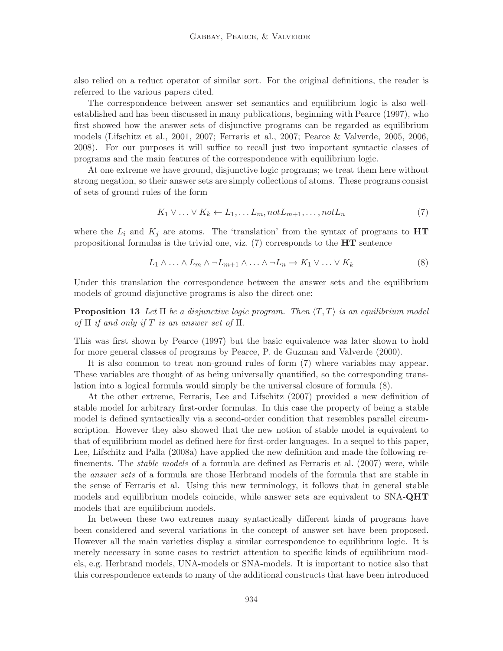also relied on a reduct operator of similar sort. For the original definitions, the reader is referred to the various papers cited.

The correspondence between answer set semantics and equilibrium logic is also wellestablished and has been discussed in many publications, beginning with Pearce (1997), who first showed how the answer sets of disjunctive programs can be regarded as equilibrium models (Lifschitz et al., 2001, 2007; Ferraris et al., 2007; Pearce & Valverde, 2005, 2006, 2008). For our purposes it will suffice to recall just two important syntactic classes of programs and the main features of the correspondence with equilibrium logic.

At one extreme we have ground, disjunctive logic programs; we treat them here without strong negation, so their answer sets are simply collections of atoms. These programs consist of sets of ground rules of the form

$$
K_1 \vee \ldots \vee K_k \leftarrow L_1, \ldots L_m, not L_{m+1}, \ldots, not L_n \tag{7}
$$

where the  $L_i$  and  $K_j$  are atoms. The 'translation' from the syntax of programs to  $HT$ propositional formulas is the trivial one, viz.  $(7)$  corresponds to the  $HT$  sentence

$$
L_1 \wedge \ldots \wedge L_m \wedge \neg L_{m+1} \wedge \ldots \wedge \neg L_n \to K_1 \vee \ldots \vee K_k
$$
 (8)

Under this translation the correspondence between the answer sets and the equilibrium models of ground disjunctive programs is also the direct one:

**Proposition 13** Let  $\Pi$  be a disjunctive logic program. Then  $\langle T, T \rangle$  is an equilibrium model of  $\Pi$  if and only if T is an answer set of  $\Pi$ .

This was first shown by Pearce (1997) but the basic equivalence was later shown to hold for more general classes of programs by Pearce, P. de Guzman and Valverde (2000).

It is also common to treat non-ground rules of form (7) where variables may appear. These variables are thought of as being universally quantified, so the corresponding translation into a logical formula would simply be the universal closure of formula (8).

At the other extreme, Ferraris, Lee and Lifschitz (2007) provided a new definition of stable model for arbitrary first-order formulas. In this case the property of being a stable model is defined syntactically via a second-order condition that resembles parallel circumscription. However they also showed that the new notion of stable model is equivalent to that of equilibrium model as defined here for first-order languages. In a sequel to this paper, Lee, Lifschitz and Palla (2008a) have applied the new definition and made the following refinements. The stable models of a formula are defined as Ferraris et al. (2007) were, while the answer sets of a formula are those Herbrand models of the formula that are stable in the sense of Ferraris et al. Using this new terminology, it follows that in general stable models and equilibrium models coincide, while answer sets are equivalent to SNA-QHT models that are equilibrium models.

In between these two extremes many syntactically different kinds of programs have been considered and several variations in the concept of answer set have been proposed. However all the main varieties display a similar correspondence to equilibrium logic. It is merely necessary in some cases to restrict attention to specific kinds of equilibrium models, e.g. Herbrand models, UNA-models or SNA-models. It is important to notice also that this correspondence extends to many of the additional constructs that have been introduced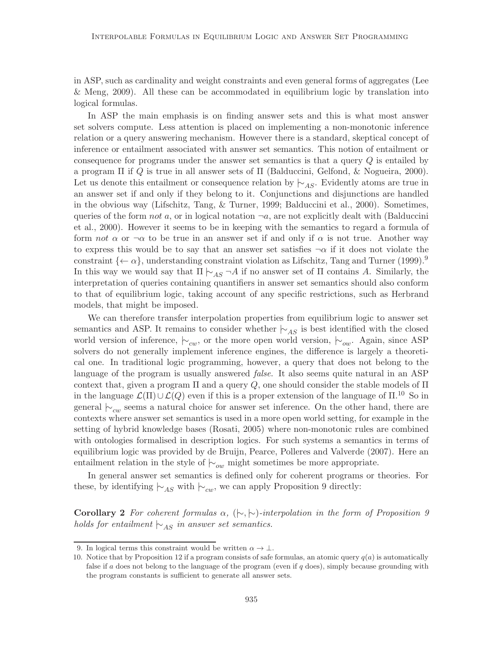in ASP, such as cardinality and weight constraints and even general forms of aggregates (Lee & Meng, 2009). All these can be accommodated in equilibrium logic by translation into logical formulas.

In ASP the main emphasis is on finding answer sets and this is what most answer set solvers compute. Less attention is placed on implementing a non-monotonic inference relation or a query answering mechanism. However there is a standard, skeptical concept of inference or entailment associated with answer set semantics. This notion of entailment or consequence for programs under the answer set semantics is that a query  $Q$  is entailed by a program Π if Q is true in all answer sets of Π (Balduccini, Gelfond, & Nogueira, 2000). Let us denote this entailment or consequence relation by  $\vdash_{AS}$ . Evidently atoms are true in an answer set if and only if they belong to it. Conjunctions and disjunctions are handled in the obvious way (Lifschitz, Tang, & Turner, 1999; Balduccini et al., 2000). Sometimes, queries of the form not a, or in logical notation  $\neg a$ , are not explicitly dealt with (Balduccini et al., 2000). However it seems to be in keeping with the semantics to regard a formula of form not  $\alpha$  or  $\neg \alpha$  to be true in an answer set if and only if  $\alpha$  is not true. Another way to express this would be to say that an answer set satisfies  $\neg \alpha$  if it does not violate the constraint  $\{\leftarrow \alpha\}$ , understanding constraint violation as Lifschitz, Tang and Turner (1999).<sup>9</sup> In this way we would say that  $\Pi \vdash_{AS} \neg A$  if no answer set of  $\Pi$  contains A. Similarly, the interpretation of queries containing quantifiers in answer set semantics should also conform to that of equilibrium logic, taking account of any specific restrictions, such as Herbrand models, that might be imposed.

We can therefore transfer interpolation properties from equilibrium logic to answer set semantics and ASP. It remains to consider whether  $\vdash_{AS}$  is best identified with the closed world version of inference,  $\vert \sim_{cw}$ , or the more open world version,  $\vert \sim_{ow}$ . Again, since ASP solvers do not generally implement inference engines, the difference is largely a theoretical one. In traditional logic programming, however, a query that does not belong to the language of the program is usually answered *false*. It also seems quite natural in an ASP context that, given a program  $\Pi$  and a query  $Q$ , one should consider the stable models of  $\Pi$ in the language  $\mathcal{L}(\Pi) \cup \mathcal{L}(Q)$  even if this is a proper extension of the language of  $\Pi$ .<sup>10</sup> So in general  $\vdash_{cw}$  seems a natural choice for answer set inference. On the other hand, there are contexts where answer set semantics is used in a more open world setting, for example in the setting of hybrid knowledge bases (Rosati, 2005) where non-monotonic rules are combined with ontologies formalised in description logics. For such systems a semantics in terms of equilibrium logic was provided by de Bruijn, Pearce, Polleres and Valverde (2007). Here an entailment relation in the style of  $\vdash_{ow}$  might sometimes be more appropriate.

In general answer set semantics is defined only for coherent programs or theories. For these, by identifying  $\vdash_{AS}$  with  $\vdash_{cw}$ , we can apply Proposition 9 directly:

Corollary 2 For coherent formulas  $\alpha$ ,  $(\nvdash, \nvdash)$ -interpolation in the form of Proposition 9 holds for entailment  $\vdash_{AS}$  in answer set semantics.

<sup>9.</sup> In logical terms this constraint would be written  $\alpha \to \bot$ .

<sup>10.</sup> Notice that by Proposition 12 if a program consists of safe formulas, an atomic query  $q(a)$  is automatically false if a does not belong to the language of the program (even if  $q$  does), simply because grounding with the program constants is sufficient to generate all answer sets.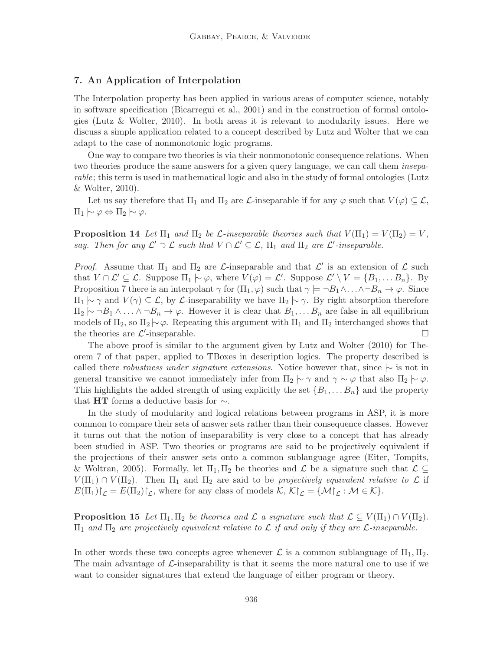# 7. An Application of Interpolation

The Interpolation property has been applied in various areas of computer science, notably in software specification (Bicarregui et al., 2001) and in the construction of formal ontologies (Lutz & Wolter, 2010). In both areas it is relevant to modularity issues. Here we discuss a simple application related to a concept described by Lutz and Wolter that we can adapt to the case of nonmonotonic logic programs.

One way to compare two theories is via their nonmonotonic consequence relations. When two theories produce the same answers for a given query language, we can call them *insepa*rable; this term is used in mathematical logic and also in the study of formal ontologies (Lutz & Wolter, 2010).

Let us say therefore that  $\Pi_1$  and  $\Pi_2$  are  $\mathcal L$ -inseparable if for any  $\varphi$  such that  $V(\varphi) \subseteq \mathcal L$ ,  $\Pi_1 \sim \varphi \Leftrightarrow \Pi_2 \sim \varphi.$ 

**Proposition 14** Let  $\Pi_1$  and  $\Pi_2$  be L-inseparable theories such that  $V(\Pi_1) = V(\Pi_2) = V$ , say. Then for any  $\mathcal{L}' \supset \mathcal{L}$  such that  $V \cap \mathcal{L}' \subseteq \mathcal{L}$ ,  $\Pi_1$  and  $\Pi_2$  are  $\mathcal{L}'$ -inseparable.

*Proof.* Assume that  $\Pi_1$  and  $\Pi_2$  are *L*-inseparable and that  $\mathcal{L}'$  is an extension of  $\mathcal{L}$  such that  $V \cap \mathcal{L}' \subseteq \mathcal{L}$ . Suppose  $\Pi_1 \mid \sim \varphi$ , where  $V(\varphi) = \mathcal{L}'$ . Suppose  $\mathcal{L}' \setminus V = \{B_1, \ldots B_n\}$ . By Proposition 7 there is an interpolant  $\gamma$  for  $(\Pi_1, \varphi)$  such that  $\gamma \models \neg B_1 \land ... \land \neg B_n \rightarrow \varphi$ . Since  $\Pi_1 \sim \gamma$  and  $V(\gamma) \subseteq \mathcal{L}$ , by  $\mathcal{L}$ -inseparability we have  $\Pi_2 \sim \gamma$ . By right absorption therefore  $\Pi_2 \sim \neg B_1 \wedge \ldots \wedge \neg B_n \to \varphi$ . However it is clear that  $B_1, \ldots B_n$  are false in all equilibrium models of  $\Pi_2$ , so  $\Pi_2 \sim \varphi$ . Repeating this argument with  $\Pi_1$  and  $\Pi_2$  interchanged shows that the theories are  $\mathcal{L}'$ -inseparable.

The above proof is similar to the argument given by Lutz and Wolter (2010) for Theorem 7 of that paper, applied to TBoxes in description logics. The property described is called there *robustness under signature extensions*. Notice however that, since  $|~\rangle$  is not in general transitive we cannot immediately infer from  $\Pi_2 \sim \gamma$  and  $\gamma \sim \varphi$  that also  $\Pi_2 \sim \varphi$ . This highlights the added strength of using explicitly the set  $\{B_1, \ldots, B_n\}$  and the property that HT forms a deductive basis for  $\vdash$ .

In the study of modularity and logical relations between programs in ASP, it is more common to compare their sets of answer sets rather than their consequence classes. However it turns out that the notion of inseparability is very close to a concept that has already been studied in ASP. Two theories or programs are said to be projectively equivalent if the projections of their answer sets onto a common sublanguage agree (Eiter, Tompits, & Woltran, 2005). Formally, let  $\Pi_1, \Pi_2$  be theories and  $\mathcal L$  be a signature such that  $\mathcal L \subseteq$  $V(\Pi_1) \cap V(\Pi_2)$ . Then  $\Pi_1$  and  $\Pi_2$  are said to be projectively equivalent relative to  $\mathcal L$  if  $E(\Pi_1)\upharpoonright_{\mathcal{L}} = E(\Pi_2)\upharpoonright_{\mathcal{L}}$ , where for any class of models  $\mathcal{K}, \mathcal{K}\upharpoonright_{\mathcal{L}} = \{\mathcal{M}\upharpoonright_{\mathcal{L}} : \mathcal{M} \in \mathcal{K}\}.$ 

**Proposition 15** Let  $\Pi_1, \Pi_2$  be theories and L a signature such that  $\mathcal{L} \subseteq V(\Pi_1) \cap V(\Pi_2)$ .  $\Pi_1$  and  $\Pi_2$  are projectively equivalent relative to  $\mathcal L$  if and only if they are  $\mathcal L$ -inseparable.

In other words these two concepts agree whenever  $\mathcal L$  is a common sublanguage of  $\Pi_1, \Pi_2$ . The main advantage of  $\mathcal{L}$ -inseparability is that it seems the more natural one to use if we want to consider signatures that extend the language of either program or theory.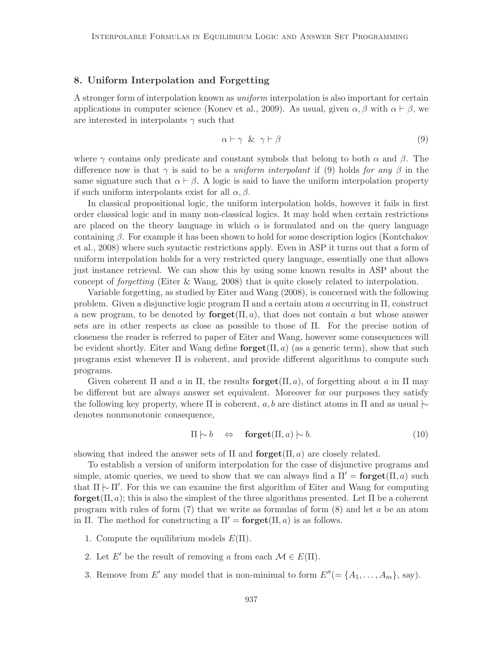### 8. Uniform Interpolation and Forgetting

A stronger form of interpolation known as uniform interpolation is also important for certain applications in computer science (Konev et al., 2009). As usual, given  $\alpha, \beta$  with  $\alpha \vdash \beta$ , we are interested in interpolants  $\gamma$  such that

$$
\alpha \vdash \gamma \And \gamma \vdash \beta \tag{9}
$$

where  $\gamma$  contains only predicate and constant symbols that belong to both  $\alpha$  and  $\beta$ . The difference now is that  $\gamma$  is said to be a *uniform interpolant* if (9) holds for any  $\beta$  in the same signature such that  $\alpha \vdash \beta$ . A logic is said to have the uniform interpolation property if such uniform interpolants exist for all  $\alpha$ ,  $\beta$ .

In classical propositional logic, the uniform interpolation holds, however it fails in first order classical logic and in many non-classical logics. It may hold when certain restrictions are placed on the theory language in which  $\alpha$  is formulated and on the query language containing  $\beta$ . For example it has been shown to hold for some description logics (Kontchakov et al., 2008) where such syntactic restrictions apply. Even in ASP it turns out that a form of uniform interpolation holds for a very restricted query language, essentially one that allows just instance retrieval. We can show this by using some known results in ASP about the concept of forgetting (Eiter & Wang, 2008) that is quite closely related to interpolation.

Variable forgetting, as studied by Eiter and Wang (2008), is concerned with the following problem. Given a disjunctive logic program  $\Pi$  and a certain atom a occurring in  $\Pi$ , construct a new program, to be denoted by  $\mathbf{forget}(\Pi, a)$ , that does not contain a but whose answer sets are in other respects as close as possible to those of Π. For the precise notion of closeness the reader is referred to paper of Eiter and Wang, however some consequences will be evident shortly. Eiter and Wang define  $\mathbf{forget}(\Pi, a)$  (as a generic term), show that such programs exist whenever  $\Pi$  is coherent, and provide different algorithms to compute such programs.

Given coherent  $\Pi$  and a in  $\Pi$ , the results **forget** $(\Pi, a)$ , of forgetting about a in  $\Pi$  may be different but are always answer set equivalent. Moreover for our purposes they satisfy the following key property, where  $\Pi$  is coherent, a, b are distinct atoms in  $\Pi$  and as usual  $\sim$ denotes nonmonotonic consequence,

$$
\Pi \mid \sim b \quad \Leftrightarrow \quad \mathbf{forget}(\Pi, a) \mid \sim b. \tag{10}
$$

showing that indeed the answer sets of  $\Pi$  and  $\textbf{forget}(\Pi, a)$  are closely related.

To establish a version of uniform interpolation for the case of disjunctive programs and simple, atomic queries, we need to show that we can always find a  $\Pi' = \operatorname{forget}(\Pi, a)$  such that  $\Pi$   $\sim$   $\Pi'$ . For this we can examine the first algorithm of Eiter and Wang for computing forget( $\Pi$ , a); this is also the simplest of the three algorithms presented. Let  $\Pi$  be a coherent program with rules of form  $(7)$  that we write as formulas of form  $(8)$  and let a be an atom in Π. The method for constructing a  $\Pi' = \textbf{forget}(\Pi, a)$  is as follows.

- 1. Compute the equilibrium models  $E(\Pi)$ .
- 2. Let E' be the result of removing a from each  $\mathcal{M} \in E(\Pi)$ .
- 3. Remove from E' any model that is non-minimal to form  $E''(=\{A_1,\ldots,A_m\}, \text{say}).$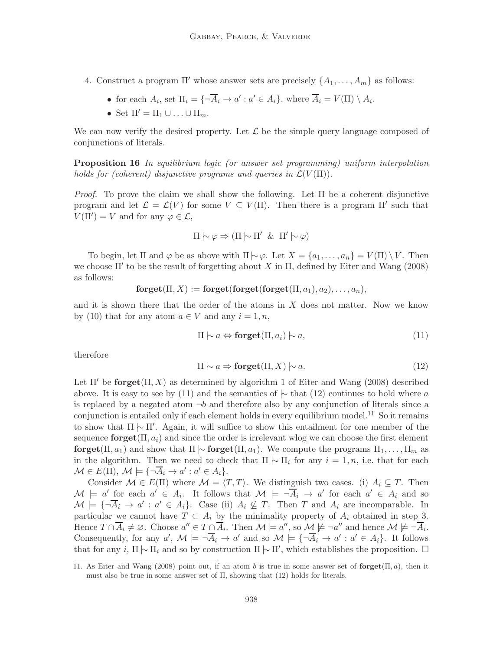- 4. Construct a program  $\Pi'$  whose answer sets are precisely  $\{A_1, \ldots, A_m\}$  as follows:
	- for each  $A_i$ , set  $\Pi_i = {\overline{A_i} \rightarrow a' : a' \in A_i}$ , where  $\overline{A_i} = V(\Pi) \setminus A_i$ .
	- Set  $\Pi' = \Pi_1 \cup \ldots \cup \Pi_m$ .

We can now verify the desired property. Let  $\mathcal L$  be the simple query language composed of conjunctions of literals.

Proposition 16 In equilibrium logic (or answer set programming) uniform interpolation holds for (coherent) disjunctive programs and queries in  $\mathcal{L}(V(\Pi))$ .

*Proof.* To prove the claim we shall show the following. Let  $\Pi$  be a coherent disjunctive program and let  $\mathcal{L} = \mathcal{L}(V)$  for some  $V \subseteq V(\Pi)$ . Then there is a program  $\Pi'$  such that  $V(\Pi') = V$  and for any  $\varphi \in \mathcal{L}$ ,

$$
\Pi \mid \sim \varphi \Rightarrow (\Pi \mid \sim \Pi' \And \Pi' \mid \sim \varphi)
$$

To begin, let  $\Pi$  and  $\varphi$  be as above with  $\Pi \sim \varphi$ . Let  $X = \{a_1, \ldots, a_n\} = V(\Pi) \setminus V$ . Then we choose  $\Pi'$  to be the result of forgetting about X in  $\Pi$ , defined by Eiter and Wang (2008) as follows:

$$
forget(\Pi, X) := forget(forget(forget(\Pi, a_1), a_2), \ldots, a_n),
$$

and it is shown there that the order of the atoms in  $X$  does not matter. Now we know by (10) that for any atom  $a \in V$  and any  $i = 1, n$ ,

$$
\Pi \mid \sim a \Leftrightarrow \mathbf{forget}(\Pi, a_i) \mid \sim a,\tag{11}
$$

therefore

$$
\Pi \mid \sim a \Rightarrow \mathbf{forget}(\Pi, X) \mid \sim a. \tag{12}
$$

Let  $\Pi'$  be **forget** $(\Pi, X)$  as determined by algorithm 1 of Eiter and Wang (2008) described above. It is easy to see by (11) and the semantics of  $\sim$  that (12) continues to hold where a is replaced by a negated atom  $\neg b$  and therefore also by any conjunction of literals since a conjunction is entailed only if each element holds in every equilibrium model.<sup>11</sup> So it remains to show that  $\Pi$   $\sim$   $\Pi'$ . Again, it will suffice to show this entailment for one member of the sequence **forget** $(\Pi, a_i)$  and since the order is irrelevant wlog we can choose the first element forget( $\Pi, a_1$ ) and show that  $\Pi$   $\sim$  forget( $\Pi, a_1$ ). We compute the programs  $\Pi_1, \ldots, \Pi_m$  as in the algorithm. Then we need to check that  $\Pi$   $\sim$   $\Pi$ <sub>i</sub> for any  $i = 1, n$ , i.e. that for each  $\mathcal{M} \in E(\Pi)$ ,  $\mathcal{M} \models {\lbrace \neg \overline{A_i} \rightarrow a' : a' \in A_i \rbrace}$ .

Consider  $\mathcal{M} \in E(\Pi)$  where  $\mathcal{M} = \langle T, T \rangle$ . We distinguish two cases. (i)  $A_i \subseteq T$ . Then  $\mathcal{M} \models a'$  for each  $a' \in A_i$ . It follows that  $\mathcal{M} \models \neg \overline{A}_i \rightarrow a'$  for each  $a' \in A_i$  and so  $\mathcal{M} \models {\neg \overline{A_i} \to a' : a' \in A_i}.$  Case (ii)  $A_i \not\subseteq T$ . Then T and  $A_i$  are incomparable. In particular we cannot have  $T \subset A_i$  by the minimality property of  $A_i$  obtained in step 3. Hence  $T \cap \overline{A}_i \neq \emptyset$ . Choose  $a'' \in T \cap \overline{A}_i$ . Then  $\mathcal{M} \models a''$ , so  $\mathcal{M} \not\models \neg a''$  and hence  $\mathcal{M} \not\models \neg \overline{A}_i$ . Consequently, for any  $a'$ ,  $\mathcal{M} \models \neg \overline{A}_i \to a'$  and so  $\mathcal{M} \models {\neg \overline{A}_i \to a' : a' \in A_i}$ . It follows that for any i,  $\Pi$   $\sim$   $\Pi_i$  and so by construction  $\Pi$   $\sim$   $\Pi'$ , which establishes the proposition.  $\Box$ 

<sup>11.</sup> As Eiter and Wang (2008) point out, if an atom b is true in some answer set of  $\text{forget}(\Pi, a)$ , then it must also be true in some answer set of Π, showing that (12) holds for literals.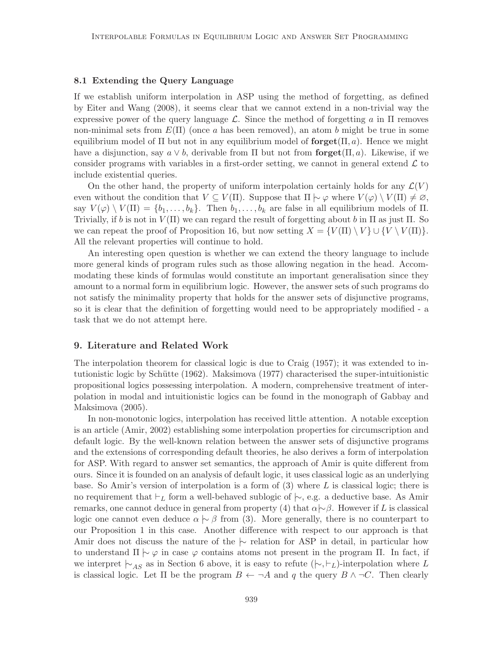# 8.1 Extending the Query Language

If we establish uniform interpolation in ASP using the method of forgetting, as defined by Eiter and Wang (2008), it seems clear that we cannot extend in a non-trivial way the expressive power of the query language  $\mathcal{L}$ . Since the method of forgetting a in  $\Pi$  removes non-minimal sets from  $E(\Pi)$  (once a has been removed), an atom b might be true in some equilibrium model of  $\Pi$  but not in any equilibrium model of **forget** $(\Pi, a)$ . Hence we might have a disjunction, say  $a \vee b$ , derivable from  $\Pi$  but not from **forget** $(\Pi, a)$ . Likewise, if we consider programs with variables in a first-order setting, we cannot in general extend  $\mathcal L$  to include existential queries.

On the other hand, the property of uniform interpolation certainly holds for any  $\mathcal{L}(V)$ even without the condition that  $V \subseteq V(\Pi)$ . Suppose that  $\Pi \sim \varphi$  where  $V(\varphi) \setminus V(\Pi) \neq \varnothing$ , say  $V(\varphi) \setminus V(\Pi) = \{b_1, \ldots, b_k\}.$  Then  $b_1, \ldots, b_k$  are false in all equilibrium models of  $\Pi$ . Trivially, if b is not in  $V(\Pi)$  we can regard the result of forgetting about b in  $\Pi$  as just  $\Pi$ . So we can repeat the proof of Proposition 16, but now setting  $X = \{V(\Pi) \setminus V\} \cup \{V \setminus V(\Pi)\}.$ All the relevant properties will continue to hold.

An interesting open question is whether we can extend the theory language to include more general kinds of program rules such as those allowing negation in the head. Accommodating these kinds of formulas would constitute an important generalisation since they amount to a normal form in equilibrium logic. However, the answer sets of such programs do not satisfy the minimality property that holds for the answer sets of disjunctive programs, so it is clear that the definition of forgetting would need to be appropriately modified - a task that we do not attempt here.

### 9. Literature and Related Work

The interpolation theorem for classical logic is due to Craig (1957); it was extended to intutionistic logic by Schütte (1962). Maksimova (1977) characterised the super-intuitionistic propositional logics possessing interpolation. A modern, comprehensive treatment of interpolation in modal and intuitionistic logics can be found in the monograph of Gabbay and Maksimova (2005).

In non-monotonic logics, interpolation has received little attention. A notable exception is an article (Amir, 2002) establishing some interpolation properties for circumscription and default logic. By the well-known relation between the answer sets of disjunctive programs and the extensions of corresponding default theories, he also derives a form of interpolation for ASP. With regard to answer set semantics, the approach of Amir is quite different from ours. Since it is founded on an analysis of default logic, it uses classical logic as an underlying base. So Amir's version of interpolation is a form of  $(3)$  where L is classical logic; there is no requirement that  $\vdash_L$  form a well-behaved sublogic of  $\mid\sim$ , e.g. a deductive base. As Amir remarks, one cannot deduce in general from property (4) that  $\alpha \sim \beta$ . However if L is classical logic one cannot even deduce  $\alpha \sim \beta$  from (3). More generally, there is no counterpart to our Proposition 1 in this case. Another difference with respect to our approach is that Amir does not discuss the nature of the  $\vdash$  relation for ASP in detail, in particular how to understand  $\Pi \sim \varphi$  in case  $\varphi$  contains atoms not present in the program Π. In fact, if we interpret  $\vdash_{AS}$  as in Section 6 above, it is easy to refute  $(\vdash, \vdash_L)$ -interpolation where L is classical logic. Let  $\Pi$  be the program  $B \leftarrow \neg A$  and q the query  $B \wedge \neg C$ . Then clearly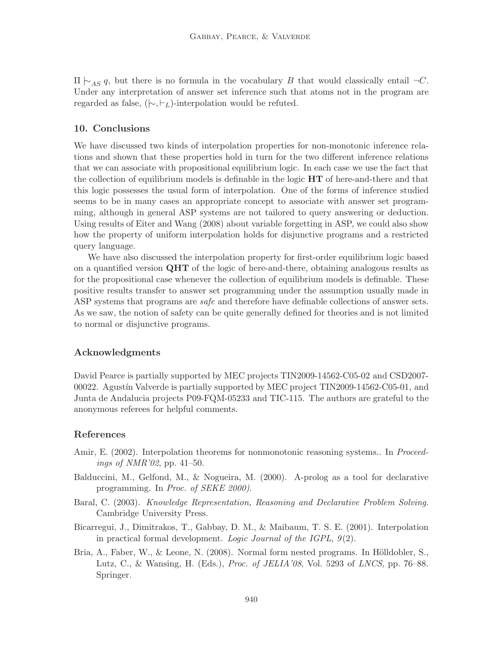$\Pi \vdash_{AS} q$ , but there is no formula in the vocabulary B that would classically entail  $\neg C$ . Under any interpretation of answer set inference such that atoms not in the program are regarded as false,  $(\n\sim, \vdash_L)$ -interpolation would be refuted.

# 10. Conclusions

We have discussed two kinds of interpolation properties for non-monotonic inference relations and shown that these properties hold in turn for the two different inference relations that we can associate with propositional equilibrium logic. In each case we use the fact that the collection of equilibrium models is definable in the logic  $HT$  of here-and-there and that this logic possesses the usual form of interpolation. One of the forms of inference studied seems to be in many cases an appropriate concept to associate with answer set programming, although in general ASP systems are not tailored to query answering or deduction. Using results of Eiter and Wang (2008) about variable forgetting in ASP, we could also show how the property of uniform interpolation holds for disjunctive programs and a restricted query language.

We have also discussed the interpolation property for first-order equilibrium logic based on a quantified version  $QHT$  of the logic of here-and-there, obtaining analogous results as for the propositional case whenever the collection of equilibrium models is definable. These positive results transfer to answer set programming under the assumption usually made in ASP systems that programs are *safe* and therefore have definable collections of answer sets. As we saw, the notion of safety can be quite generally defined for theories and is not limited to normal or disjunctive programs.

# Acknowledgments

David Pearce is partially supported by MEC projects TIN2009-14562-C05-02 and CSD2007- 00022. Agustín Valverde is partially supported by MEC project TIN2009-14562-C05-01, and Junta de Andalucia projects P09-FQM-05233 and TIC-115. The authors are grateful to the anonymous referees for helpful comments.

# References

- Amir, E. (2002). Interpolation theorems for nonmonotonic reasoning systems.. In *Proceed*ings of NMR'02, pp. 41–50.
- Balduccini, M., Gelfond, M., & Nogueira, M. (2000). A-prolog as a tool for declarative programming. In Proc. of SEKE 2000).
- Baral, C. (2003). Knowledge Representation, Reasoning and Declarative Problem Solving. Cambridge University Press.
- Bicarregui, J., Dimitrakos, T., Gabbay, D. M., & Maibaum, T. S. E. (2001). Interpolation in practical formal development. Logic Journal of the IGPL, 9(2).
- Bria, A., Faber, W., & Leone, N.  $(2008)$ . Normal form nested programs. In Hölldobler, S., Lutz, C., & Wansing, H. (Eds.), Proc. of JELIA'08, Vol. 5293 of LNCS, pp. 76–88. Springer.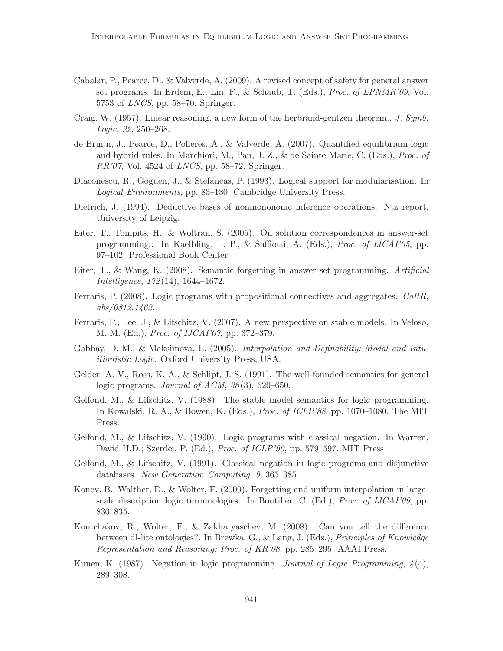- Cabalar, P., Pearce, D., & Valverde, A. (2009). A revised concept of safety for general answer set programs. In Erdem, E., Lin, F., & Schaub, T. (Eds.), Proc. of LPNMR'09, Vol. 5753 of LNCS, pp. 58–70. Springer.
- Craig, W. (1957). Linear reasoning. a new form of the herbrand-gentzen theorem.. J. Symb. Logic, 22, 250–268.
- de Bruijn, J., Pearce, D., Polleres, A., & Valverde, A. (2007). Quantified equilibrium logic and hybrid rules. In Marchiori, M., Pan, J. Z., & de Sainte Marie, C. (Eds.), Proc. of  $RR'07$ , Vol. 4524 of *LNCS*, pp. 58–72. Springer.
- Diaconescu, R., Goguen, J., & Stefaneas, P. (1993). Logical support for modularisation. In Logical Environments, pp. 83–130. Cambridge University Press.
- Dietrich, J. (1994). Deductive bases of nonmonononic inference operations. Ntz report, University of Leipzig.
- Eiter, T., Tompits, H., & Woltran, S. (2005). On solution correspondences in answer-set programming.. In Kaelbling, L. P., & Saffiotti, A. (Eds.), Proc. of IJCAI'05, pp. 97–102. Professional Book Center.
- Eiter, T., & Wang, K. (2008). Semantic forgetting in answer set programming. Artificial Intelligence, 172(14), 1644–1672.
- Ferraris, P. (2008). Logic programs with propositional connectives and aggregates. CoRR, abs/0812.1462.
- Ferraris, P., Lee, J., & Lifschitz, V. (2007). A new perspective on stable models. In Veloso, M. M. (Ed.), Proc. of IJCAI'07, pp. 372–379.
- Gabbay, D. M., & Maksimova, L. (2005). *Interpolation and Definability: Modal and Intu*itionistic Logic. Oxford University Press, USA.
- Gelder, A. V., Ross, K. A., & Schlipf, J. S. (1991). The well-founded semantics for general logic programs. Journal of ACM, 38(3), 620–650.
- Gelfond, M., & Lifschitz, V. (1988). The stable model semantics for logic programming. In Kowalski, R. A., & Bowen, K. (Eds.), Proc. of ICLP'88, pp. 1070–1080. The MIT Press.
- Gelfond, M., & Lifschitz, V. (1990). Logic programs with classical negation. In Warren, David H.D.; Szerdei, P. (Ed.), Proc. of ICLP'90, pp. 579–597. MIT Press.
- Gelfond, M., & Lifschitz, V. (1991). Classical negation in logic programs and disjunctive databases. New Generation Computing, 9, 365–385.
- Konev, B., Walther, D., & Wolter, F. (2009). Forgetting and uniform interpolation in largescale description logic terminologies. In Boutilier, C. (Ed.), Proc. of IJCAI'09, pp. 830–835.
- Kontchakov, R., Wolter, F., & Zakharyaschev, M. (2008). Can you tell the difference between dl-lite ontologies?. In Brewka, G., & Lang, J. (Eds.), Principles of Knowledge Representation and Reasoning: Proc. of KR'08, pp. 285–295. AAAI Press.
- Kunen, K. (1987). Negation in logic programming. Journal of Logic Programming,  $\chi(4)$ , 289–308.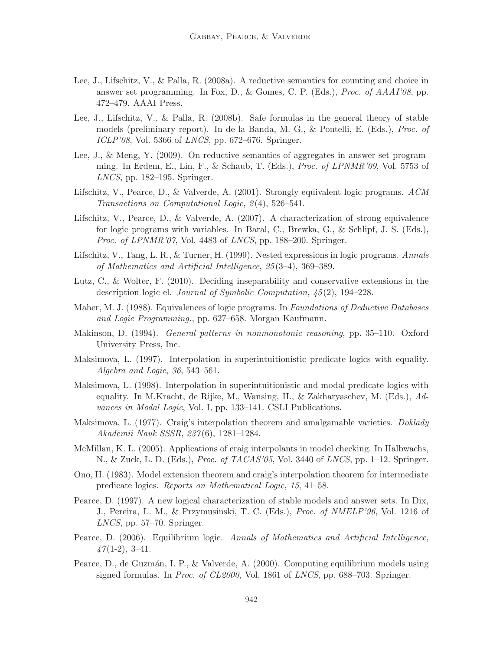- Lee, J., Lifschitz, V., & Palla, R. (2008a). A reductive semantics for counting and choice in answer set programming. In Fox, D., & Gomes, C. P. (Eds.), Proc. of AAAI'08, pp. 472–479. AAAI Press.
- Lee, J., Lifschitz, V., & Palla, R. (2008b). Safe formulas in the general theory of stable models (preliminary report). In de la Banda, M. G., & Pontelli, E. (Eds.), Proc. of ICLP'08, Vol. 5366 of LNCS, pp. 672–676. Springer.
- Lee, J., & Meng, Y. (2009). On reductive semantics of aggregates in answer set programming. In Erdem, E., Lin, F., & Schaub, T. (Eds.), Proc. of LPNMR'09, Vol. 5753 of LNCS, pp. 182–195. Springer.
- Lifschitz, V., Pearce, D., & Valverde, A. (2001). Strongly equivalent logic programs. ACM Transactions on Computational Logic, 2(4), 526–541.
- Lifschitz, V., Pearce, D., & Valverde, A. (2007). A characterization of strong equivalence for logic programs with variables. In Baral, C., Brewka, G., & Schlipf, J. S. (Eds.), Proc. of LPNMR'07, Vol. 4483 of LNCS, pp. 188–200. Springer.
- Lifschitz, V., Tang, L. R., & Turner, H. (1999). Nested expressions in logic programs. Annals of Mathematics and Artificial Intelligence, 25(3–4), 369–389.
- Lutz, C., & Wolter, F. (2010). Deciding inseparability and conservative extensions in the description logic el. Journal of Symbolic Computation, 45(2), 194–228.
- Maher, M. J. (1988). Equivalences of logic programs. In Foundations of Deductive Databases and Logic Programming., pp. 627–658. Morgan Kaufmann.
- Makinson, D. (1994). General patterns in nonmonotonic reasoning, pp. 35–110. Oxford University Press, Inc.
- Maksimova, L. (1997). Interpolation in superintuitionistic predicate logics with equality. Algebra and Logic, 36, 543–561.
- Maksimova, L. (1998). Interpolation in superintuitionistic and modal predicate logics with equality. In M.Kracht, de Rijke, M., Wansing, H., & Zakharyaschev, M. (Eds.), Advances in Modal Logic, Vol. I, pp. 133–141. CSLI Publications.
- Maksimova, L. (1977). Craig's interpolation theorem and amalgamable varieties. *Doklady* Akademii Nauk SSSR, 237(6), 1281–1284.
- McMillan, K. L. (2005). Applications of craig interpolants in model checking. In Halbwachs, N., & Zuck, L. D. (Eds.), Proc. of TACAS'05, Vol. 3440 of LNCS, pp. 1–12. Springer.
- Ono, H. (1983). Model extension theorem and craig's interpolation theorem for intermediate predicate logics. Reports on Mathematical Logic, 15, 41–58.
- Pearce, D. (1997). A new logical characterization of stable models and answer sets. In Dix, J., Pereira, L. M., & Przymusinski, T. C. (Eds.), Proc. of NMELP'96, Vol. 1216 of LNCS, pp. 57–70. Springer.
- Pearce, D. (2006). Equilibrium logic. Annals of Mathematics and Artificial Intelligence,  $\frac{1}{2}$ (1-2), 3-41.
- Pearce, D., de Guzmán, I. P., & Valverde, A. (2000). Computing equilibrium models using signed formulas. In Proc. of CL2000, Vol. 1861 of LNCS, pp. 688–703. Springer.